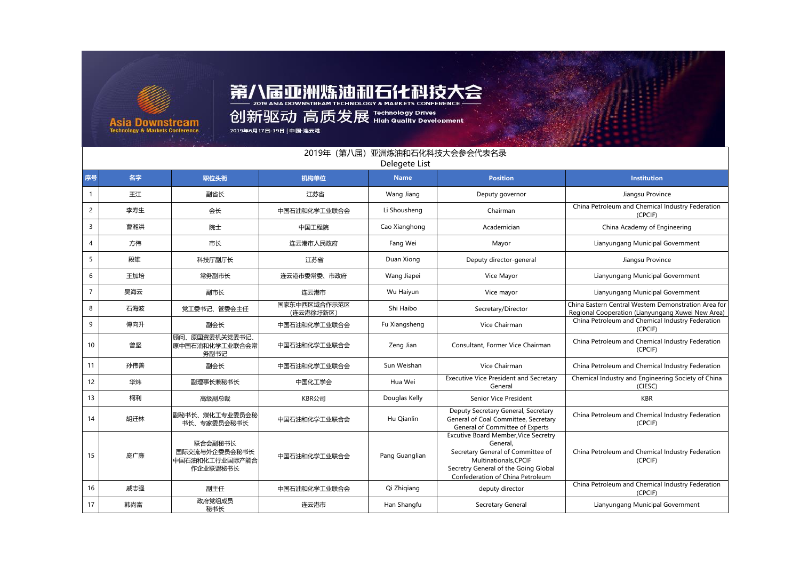

## 第八届亚洲炼油和石化科技大会

1117 2019 ASIA DOWNSTREAM TECHNOLOGY & MARKETS CONFERENCE

2019年6月17日-19日 | 中国·连云港

|                | 2019年 (第八届) 亚洲炼油和石化科技大会参会代表名录<br>Delegete List |                                                        |                           |                |                                                                                                                                                                                                  |                                                                                                           |  |  |  |
|----------------|------------------------------------------------|--------------------------------------------------------|---------------------------|----------------|--------------------------------------------------------------------------------------------------------------------------------------------------------------------------------------------------|-----------------------------------------------------------------------------------------------------------|--|--|--|
| 序号             | 名字                                             | 职位头衔                                                   | 机构单位                      | <b>Name</b>    | <b>Position</b>                                                                                                                                                                                  | Institution                                                                                               |  |  |  |
| $\mathbf{1}$   | 王江                                             | 副省长                                                    | 江苏省                       | Wang Jiang     | Deputy governor                                                                                                                                                                                  | Jiangsu Province                                                                                          |  |  |  |
| $\overline{2}$ | 李寿生                                            | 会长                                                     | 中国石油和化学工业联合会              | Li Shousheng   | Chairman                                                                                                                                                                                         | China Petroleum and Chemical Industry Federation<br>(CPCIF)                                               |  |  |  |
| 3              | 曹湘洪                                            | 院士                                                     | 中国工程院                     | Cao Xianghong  | Academician                                                                                                                                                                                      | China Academy of Engineering                                                                              |  |  |  |
| 4              | 方伟                                             | 市长                                                     | 连云港市人民政府                  | Fang Wei       | Mayor                                                                                                                                                                                            | Lianyungang Municipal Government                                                                          |  |  |  |
| 5              | 段雄                                             | 科技厅副厅长                                                 | 江苏省                       | Duan Xiong     | Deputy director-general                                                                                                                                                                          | Jiangsu Province                                                                                          |  |  |  |
| 6              | 王加培                                            | 常务副市长                                                  | 连云港市委常委、市政府               | Wang Jiapei    | Vice Mayor                                                                                                                                                                                       | Lianyungang Municipal Government                                                                          |  |  |  |
| 7              | 吴海云                                            | 副市长                                                    | 连云港市                      | Wu Haiyun      | Vice mayor                                                                                                                                                                                       | Lianyungang Municipal Government                                                                          |  |  |  |
| 8              | 石海波                                            | 党工委书记、管委会主任                                            | 国家东中西区域合作示范区<br>(连云港徐圩新区) | Shi Haibo      | Secretary/Director                                                                                                                                                                               | China Eastern Central Western Demonstration Area for<br>Regional Cooperation (Lianyungang Xuwei New Area) |  |  |  |
| 9              | 傅向升                                            | 副会长                                                    | 中国石油和化学工业联合会              | Fu Xiangsheng  | Vice Chairman                                                                                                                                                                                    | China Petroleum and Chemical Industry Federation<br>(CPCIF)                                               |  |  |  |
| 10             | 曾坚                                             | 顾问、原国资委机关党委书记、<br>原中国石油和化学工业联合会常<br>务副书记               | 中国石油和化学工业联合会              | Zeng Jian      | Consultant, Former Vice Chairman                                                                                                                                                                 | China Petroleum and Chemical Industry Federation<br>(CPCIF)                                               |  |  |  |
| 11             | 孙伟善                                            | 副会长                                                    | 中国石油和化学工业联合会              | Sun Weishan    | Vice Chairman                                                                                                                                                                                    | China Petroleum and Chemical Industry Federation                                                          |  |  |  |
| 12             | 华炜                                             | 副理事长兼秘书长                                               | 中国化工学会                    | Hua Wei        | <b>Executive Vice President and Secretary</b><br>General                                                                                                                                         | Chemical Industry and Engineering Society of China<br>(CIESC)                                             |  |  |  |
| 13             | 柯利                                             | 高级副总裁                                                  | KBR公司                     | Douglas Kelly  | Senior Vice President                                                                                                                                                                            | <b>KBR</b>                                                                                                |  |  |  |
| 14             | 胡迁林                                            | 副秘书长、煤化工专业委员会秘<br>书长、专家委员会秘书长                          | 中国石油和化学工业联合会              | Hu Oianlin     | Deputy Secretary General, Secretary<br>General of Coal Committee, Secretary<br>General of Committee of Experts                                                                                   | China Petroleum and Chemical Industry Federation<br>(CPCIF)                                               |  |  |  |
| 15             | 庞广廉                                            | 联合会副秘书长<br>国际交流与外企委员会秘书长<br>中国石油和化工行业国际产能合<br>作企业联盟秘书长 | 中国石油和化学工业联合会              | Pang Guanglian | <b>Excutive Board Member, Vice Secretry</b><br>General.<br>Secretary General of Committee of<br>Multinationals.CPCIF<br>Secretry General of the Going Global<br>Confederation of China Petroleum | China Petroleum and Chemical Industry Federation<br>(CPCIF)                                               |  |  |  |
| 16             | 戚志强                                            | 副主任                                                    | 中国石油和化学工业联合会              | Qi Zhiqiang    | deputy director                                                                                                                                                                                  | China Petroleum and Chemical Industry Federation<br>(CPCIF)                                               |  |  |  |
| 17             | 韩尚富                                            | 政府党组成员<br>秘书长                                          | 连云港市                      | Han Shangfu    | Secretary General                                                                                                                                                                                | Lianyungang Municipal Government                                                                          |  |  |  |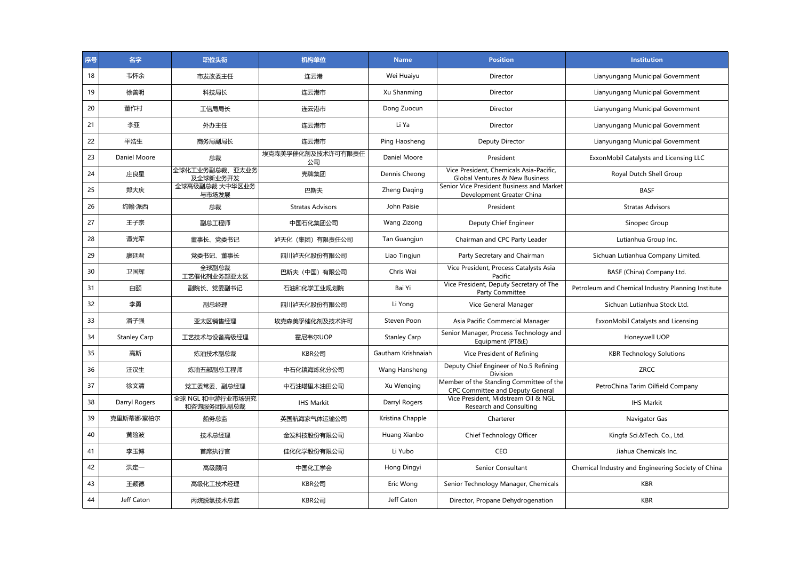| 序号 | 名字                  | 职位头衔                           | 机构单位                    | <b>Name</b>         | <b>Position</b>                                                             | <b>Institution</b>                                 |
|----|---------------------|--------------------------------|-------------------------|---------------------|-----------------------------------------------------------------------------|----------------------------------------------------|
| 18 | 韦怀余                 | 市发改委主任                         | 连云港                     | Wei Huaiyu          | Director                                                                    | Lianyungang Municipal Government                   |
| 19 | 徐善明                 | 科技局长                           | 连云港市                    | Xu Shanming         | Director                                                                    | Lianyungang Municipal Government                   |
| 20 | 董作村                 | 工信局局长                          | 连云港市                    | Dong Zuocun         | Director                                                                    | Lianyungang Municipal Government                   |
| 21 | 李亚                  | 外办主任                           | 连云港市                    | Li Ya               | Director                                                                    | Lianyungang Municipal Government                   |
| 22 | 平浩生                 | 商务局副局长                         | 连云港市                    | Ping Haosheng       | Deputy Director                                                             | Lianyungang Municipal Government                   |
| 23 | Daniel Moore        | 总裁                             | 埃克森美孚催化剂及技术许可有限责任<br>公司 | Daniel Moore        | President                                                                   | ExxonMobil Catalysts and Licensing LLC             |
| 24 | 庄良星                 | 全球化工业务副总裁、亚太业务<br>及全球新业务开发     | 壳牌集团                    | Dennis Cheong       | Vice President, Chemicals Asia-Pacific,<br>Global Ventures & New Business   | Royal Dutch Shell Group                            |
| 25 | 郑大庆                 | 全球高级副总裁 大中华区业务<br>与市场发展        | 巴斯夫                     | Zheng Daqing        | Senior Vice President Business and Market<br>Development Greater China      | <b>BASF</b>                                        |
| 26 | 约翰·派西               | 总裁                             | <b>Stratas Advisors</b> | John Paisie         | President                                                                   | <b>Stratas Advisors</b>                            |
| 27 | 王子宗                 | 副总工程师                          | 中国石化集团公司                | Wang Zizong         | Deputy Chief Engineer                                                       | Sinopec Group                                      |
| 28 | 谭光军                 | 董事长、党委书记                       | 泸天化 (集团) 有限责任公司         | Tan Guangjun        | Chairman and CPC Party Leader                                               | Lutianhua Group Inc.                               |
| 29 | 廖廷君                 | 党委书记、董事长                       | 四川泸天化股份有限公司             | Liao Tingjun        | Party Secretary and Chairman                                                | Sichuan Lutianhua Company Limited.                 |
| 30 | 卫国辉                 | 全球副总裁<br>工艺催化剂业务部亚太区           | 巴斯夫 (中国) 有限公司           | Chris Wai           | Vice President, Process Catalysts Asia<br>Pacific                           | BASF (China) Company Ltd.                          |
| 31 | 白颐                  | 副院长、党委副书记                      | 石油和化学工业规划院              | Bai Yi              | Vice President, Deputy Secretary of The<br>Party Committee                  | Petroleum and Chemical Industry Planning Institute |
| 32 | 李勇                  | 副总经理                           | 四川泸天化股份有限公司             | Li Yong             | Vice General Manager                                                        | Sichuan Lutianhua Stock Ltd.                       |
| 33 | 潘子强                 | 亚太区销售经理                        | 埃克森美孚催化剂及技术许可           | Steven Poon         | Asia Pacific Commercial Manager                                             | ExxonMobil Catalysts and Licensing                 |
| 34 | <b>Stanley Carp</b> | 工艺技术与设备高级经理                    | 霍尼韦尔UOP                 | <b>Stanley Carp</b> | Senior Manager, Process Technology and<br>Equipment (PT&E)                  | Honeywell UOP                                      |
| 35 | 高斯                  | 炼油技术副总裁                        | KBR公司                   | Gautham Krishnaiah  | Vice President of Refining                                                  | <b>KBR Technology Solutions</b>                    |
| 36 | 汪汉生                 | 炼油五部副总工程师                      | 中石化镇海炼化分公司              | Wang Hansheng       | Deputy Chief Engineer of No.5 Refining<br>Division                          | ZRCC                                               |
| 37 | 徐文清                 | 党工委常委、副总经理                     | 中石油塔里木油田公司              | Xu Wenging          | Member of the Standing Committee of the<br>CPC Committee and Deputy General | PetroChina Tarim Oilfield Company                  |
| 38 | Darryl Rogers       | 全球 NGL 和中游行业市场研究<br>和咨询服务团队副总裁 | <b>IHS Markit</b>       | Darryl Rogers       | Vice President, Midstream Oil & NGL<br>Research and Consulting              | <b>IHS Markit</b>                                  |
| 39 | 克里斯蒂娜·察柏尔           | 船务总监                           | 英国航海家气体运输公司             | Kristina Chapple    | Charterer                                                                   | Navigator Gas                                      |
| 40 | 黄险波                 | 技术总经理                          | 金发科技股份有限公司              | Huang Xianbo        | Chief Technology Officer                                                    | Kingfa Sci.&Tech. Co., Ltd.                        |
| 41 | 李玉博                 | 首席执行官                          | 佳化化学股份有限公司              | Li Yubo             | <b>CEO</b>                                                                  | Jiahua Chemicals Inc.                              |
| 42 | 洪定一                 | 高级顾问                           | 中国化工学会                  | Hong Dingyi         | Senior Consultant                                                           | Chemical Industry and Engineering Society of China |
| 43 | 王颖德                 | 高级化工技术经理                       | KBR公司                   | Eric Wong           | Senior Technology Manager, Chemicals                                        | <b>KBR</b>                                         |
| 44 | Jeff Caton          | 丙烷脱氢技术总监                       | KBR公司                   | Jeff Caton          | Director, Propane Dehydrogenation                                           | <b>KBR</b>                                         |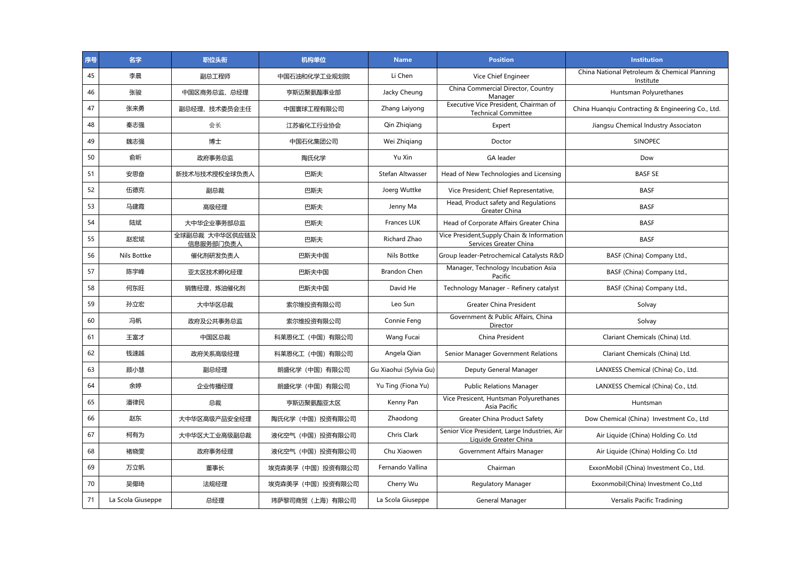| 序号 | 名字                | 职位头衔                        | 机构单位              | <b>Name</b>            | <b>Position</b>                                                       | <b>Institution</b>                                        |
|----|-------------------|-----------------------------|-------------------|------------------------|-----------------------------------------------------------------------|-----------------------------------------------------------|
| 45 | 李晨                | 副总工程师                       | 中国石油和化学工业规划院      | Li Chen                | Vice Chief Engineer                                                   | China National Petroleum & Chemical Planning<br>Institute |
| 46 | 张骏                | 中国区商务总监、总经理                 | 亨斯迈聚氨酯事业部         | Jacky Cheung           | China Commercial Director, Country<br>Manager                         | Huntsman Polyurethanes                                    |
| 47 | 张来勇               | 副总经理、技术委员会主任                | 中国寰球工程有限公司        | Zhang Laiyong          | Executive Vice President, Chairman of<br><b>Technical Committee</b>   | China Huanqiu Contracting & Engineering Co., Ltd.         |
| 48 | 秦志强               | 会长                          | 江苏省化工行业协会         | Qin Zhigiang           | Expert                                                                | Jiangsu Chemical Industry Associaton                      |
| 49 | 魏志强               | 博士                          | 中国石化集团公司          | Wei Zhigiang           | Doctor                                                                | <b>SINOPEC</b>                                            |
| 50 | 俞昕                | 政府事务总监                      | 陶氏化学              | Yu Xin                 | GA leader                                                             | Dow                                                       |
| 51 | 安思奋               | 新技术与技术授权全球负责人               | 巴斯夫               | Stefan Altwasser       | Head of New Technologies and Licensing                                | <b>BASF SE</b>                                            |
| 52 | 伍德克               | 副总裁                         | 巴斯夫               | Joerg Wuttke           | Vice President; Chief Representative,                                 | <b>BASF</b>                                               |
| 53 | 马建霞               | 高级经理                        | 巴斯夫               | Jenny Ma               | Head, Product safety and Regulations<br>Greater China                 | <b>BASF</b>                                               |
| 54 | 陆斌                | 大中华企业事务部总监                  | 巴斯夫               | Frances LUK            | Head of Corporate Affairs Greater China                               | <b>BASF</b>                                               |
| 55 | 赵宏斌               | 全球副总裁 大中华区供应链及<br>信息服务部门负责人 | 巴斯夫               | Richard Zhao           | Vice President, Supply Chain & Information<br>Services Greater China  | <b>BASF</b>                                               |
| 56 | Nils Bottke       | 催化剂研发负责人                    | 巴斯夫中国             | Nils Bottke            | Group leader-Petrochemical Catalysts R&D                              | BASF (China) Company Ltd.,                                |
| 57 | 陈宇峰               | 亚太区技术孵化经理                   | 巴斯夫中国             | <b>Brandon Chen</b>    | Manager, Technology Incubation Asia<br>Pacific                        | BASF (China) Company Ltd.,                                |
| 58 | 何东旺               | 销售经理,炼油催化剂                  | 巴斯夫中国             | David He               | Technology Manager - Refinery catalyst                                | BASF (China) Company Ltd.,                                |
| 59 | 孙立宏               | 大中华区总裁                      | 索尔维投资有限公司         | Leo Sun                | <b>Greater China President</b>                                        | Solvay                                                    |
| 60 | 冯帆                | 政府及公共事务总监                   | 索尔维投资有限公司         | Connie Feng            | Government & Public Affairs, China<br>Director                        | Solvay                                                    |
| 61 | 王富才               | 中国区总裁                       | 科莱恩化工(中国)有限公司     | Wang Fucai             | China President                                                       | Clariant Chemicals (China) Ltd.                           |
| 62 | 钱速越               | 政府关系高级经理                    | 科莱恩化工(中国)有限公司     | Angela Qian            | Senior Manager Government Relations                                   | Clariant Chemicals (China) Ltd.                           |
| 63 | 顾小慧               | 副总经理                        | 朗盛化学 (中国) 有限公司    | Gu Xiaohui (Sylvia Gu) | Deputy General Manager                                                | LANXESS Chemical (China) Co., Ltd.                        |
| 64 | 余婷                | 企业传播经理                      | 朗盛化学 (中国) 有限公司    | Yu Ting (Fiona Yu)     | <b>Public Relations Manager</b>                                       | LANXESS Chemical (China) Co., Ltd.                        |
| 65 | 潘律民               | 总裁                          | 亨斯迈聚氨酯亚太区         | Kenny Pan              | Vice Presicent, Huntsman Polyurethanes<br>Asia Pacific                | Huntsman                                                  |
| 66 | 赵东                | 大中华区高级产品安全经理                | 陶氏化学 (中国) 投资有限公司  | Zhaodong               | Greater China Product Safety                                          | Dow Chemical (China) Investment Co., Ltd                  |
| 67 | 柯有为               | 大中华区大工业高级副总裁                | 液化空气(中国)投资有限公司    | Chris Clark            | Senior Vice President, Large Industries, Air<br>Liquide Greater China | Air Liquide (China) Holding Co. Ltd                       |
| 68 | 褚晓雯               | 政府事务经理                      | 液化空气(中国)投资有限公司    | Chu Xiaowen            | Government Affairs Manager                                            | Air Liquide (China) Holding Co. Ltd                       |
| 69 | 万立帆               | 董事长                         | 埃克森美孚 (中国) 投资有限公司 | Fernando Vallina       | Chairman                                                              | ExxonMobil (China) Investment Co., Ltd.                   |
| 70 | 吴倻琦               | 法规经理                        | 埃克森美孚 (中国) 投资有限公司 | Cherry Wu              | Regulatory Manager                                                    | Exxonmobil(China) Investment Co., Ltd                     |
| 71 | La Scola Giuseppe | 总经理                         | 玮萨黎司商贸 (上海) 有限公司  | La Scola Giuseppe      | General Manager                                                       | Versalis Pacific Tradining                                |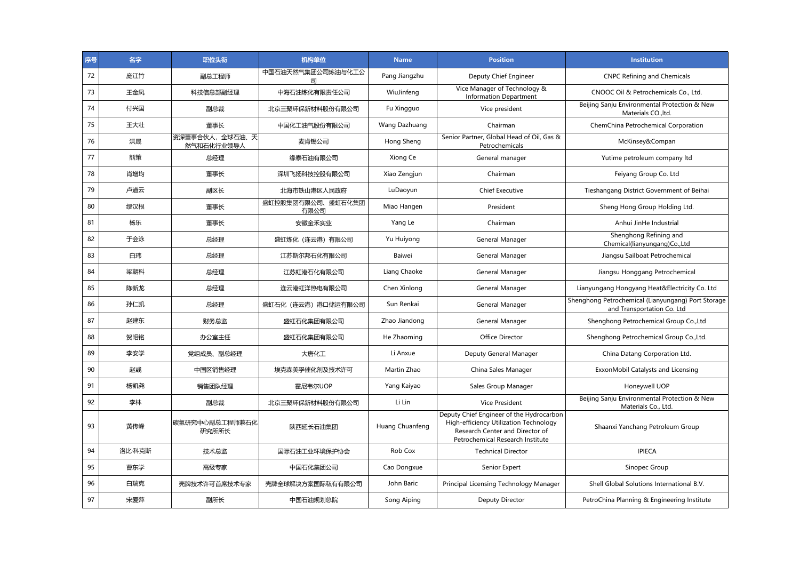| 序号 | 名字     | 职位头衔                         | 机构单位                      | <b>Name</b>     | <b>Position</b>                                                                                                                                           | <b>Institution</b>                                                               |
|----|--------|------------------------------|---------------------------|-----------------|-----------------------------------------------------------------------------------------------------------------------------------------------------------|----------------------------------------------------------------------------------|
| 72 | 庞江竹    | 副总工程师                        | 中国石油天然气集团公司炼油与化工公<br>司    | Pang Jiangzhu   | Deputy Chief Engineer                                                                                                                                     | <b>CNPC Refining and Chemicals</b>                                               |
| 73 | 王金凤    | 科技信息部副经理                     | 中海石油炼化有限责任公司              | WiuJinfeng      | Vice Manager of Technology &<br><b>Information Department</b>                                                                                             | CNOOC Oil & Petrochemicals Co., Ltd.                                             |
| 74 | 付兴国    | 副总裁                          | 北京三聚环保新材料股份有限公司           | Fu Xingguo      | Vice president                                                                                                                                            | Beijing Sanju Environmental Protection & New<br>Materials CO., Itd.              |
| 75 | 王大壮    | 董事长                          | 中国化工油气股份有限公司              | Wang Dazhuang   | Chairman                                                                                                                                                  | ChemChina Petrochemical Corporation                                              |
| 76 | 洪晟     | 资深董事合伙人,全球石油、天<br>然气和石化行业领导人 | 麦肯锡公司                     | Hong Sheng      | Senior Partner, Global Head of Oil, Gas &<br>Petrochemicals                                                                                               | McKinsey&Compan                                                                  |
| 77 | 熊策     | 总经理                          | 缘泰石油有限公司                  | Xiong Ce        | General manager                                                                                                                                           | Yutime petroleum company ltd                                                     |
| 78 | 肖增均    | 董事长                          | 深圳飞扬科技控股有限公司              | Xiao Zengjun    | Chairman                                                                                                                                                  | Feiyang Group Co. Ltd                                                            |
| 79 | 卢道云    | 副区长                          | 北海市铁山港区人民政府               | LuDaoyun        | <b>Chief Executive</b>                                                                                                                                    | Tieshangang District Government of Beihai                                        |
| 80 | 缪汉根    | 董事长                          | 盛虹控股集团有限公司、盛虹石化集团<br>有限公司 | Miao Hangen     | President                                                                                                                                                 | Sheng Hong Group Holding Ltd.                                                    |
| 81 | 杨乐     | 董事长                          | 安徽金禾实业                    | Yang Le         | Chairman                                                                                                                                                  | Anhui JinHe Industrial                                                           |
| 82 | 于会泳    | 总经理                          | 盛虹炼化(连云港)有限公司             | Yu Huiyong      | General Manager                                                                                                                                           | Shenghong Refining and<br>Chemical(lianyungang)Co.,Ltd                           |
| 83 | 白玮     | 总经理                          | 江苏斯尔邦石化有限公司               | Baiwei          | General Manager                                                                                                                                           | Jiangsu Sailboat Petrochemical                                                   |
| 84 | 梁朝科    | 总经理                          | 江苏虹港石化有限公司                | Liang Chaoke    | General Manager                                                                                                                                           | Jiangsu Honggang Petrochemical                                                   |
| 85 | 陈新龙    | 总经理                          | 连云港虹洋热电有限公司               | Chen Xinlong    | General Manager                                                                                                                                           | Lianyungang Hongyang Heat&Electricity Co. Ltd                                    |
| 86 | 孙仁凯    | 总经理                          | 盛虹石化 (连云港) 港口储运有限公司       | Sun Renkai      | General Manager                                                                                                                                           | Shenghong Petrochemical (Lianyungang) Port Storage<br>and Transportation Co. Ltd |
| 87 | 赵建东    | 财务总监                         | 盛虹石化集团有限公司                | Zhao Jiandong   | General Manager                                                                                                                                           | Shenghong Petrochemical Group Co., Ltd                                           |
| 88 | 贺昭铭    | 办公室主任                        | 盛虹石化集团有限公司                | He Zhaoming     | Office Director                                                                                                                                           | Shenghong Petrochemical Group Co., Ltd.                                          |
| 89 | 李安学    | 党组成员、副总经理                    | 大唐化工                      | Li Anxue        | Deputy General Manager                                                                                                                                    | China Datang Corporation Ltd.                                                    |
| 90 | 赵彧     | 中国区销售经理                      | 埃克森美孚催化剂及技术许可             | Martin Zhao     | China Sales Manager                                                                                                                                       | ExxonMobil Catalysts and Licensing                                               |
| 91 | 杨凯尧    | 销售团队经理                       | 霍尼韦尔UOP                   | Yang Kaiyao     | Sales Group Manager                                                                                                                                       | Honeywell UOP                                                                    |
| 92 | 李林     | 副总裁                          | 北京三聚环保新材料股份有限公司           | Li Lin          | <b>Vice President</b>                                                                                                                                     | Beijing Sanju Environmental Protection & New<br>Materials Co., Ltd.              |
| 93 | 黄传峰    | 碳氢研究中心副总工程师兼石化<br>研究所所长      | 陕西延长石油集团                  | Huang Chuanfeng | Deputy Chief Engineer of the Hydrocarbon<br>High-efficiency Utilization Technology<br>Research Center and Director of<br>Petrochemical Research Institute | Shaanxi Yanchang Petroleum Group                                                 |
| 94 | 洛比·科克斯 | 技术总监                         | 国际石油工业环境保护协会              | Rob Cox         | <b>Technical Director</b>                                                                                                                                 | <b>IPIECA</b>                                                                    |
| 95 | 曹东学    | 高级专家                         | 中国石化集团公司                  | Cao Dongxue     | Senior Expert                                                                                                                                             | Sinopec Group                                                                    |
| 96 | 白瑞克    | 壳牌技术许可首席技术专家                 | 壳牌全球解决方案国际私有有限公司          | John Baric      | Principal Licensing Technology Manager                                                                                                                    | Shell Global Solutions International B.V.                                        |
| 97 | 宋爱萍    | 副所长                          | 中国石油规划总院                  | Song Aiping     | Deputy Director                                                                                                                                           | PetroChina Planning & Engineering Institute                                      |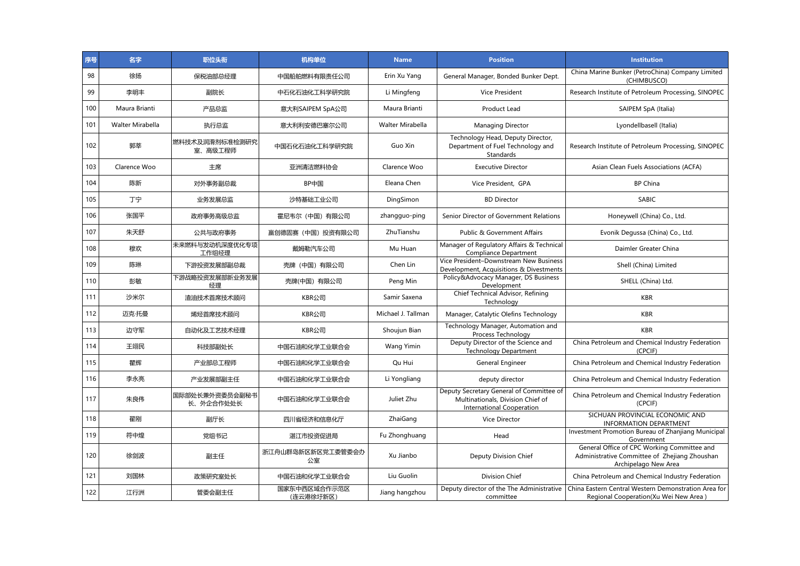| 序号  | 名字               | 职位头衔                        | 机构单位                      | <b>Name</b>        | <b>Position</b>                                                                                                   | <b>Institution</b>                                                                                                   |
|-----|------------------|-----------------------------|---------------------------|--------------------|-------------------------------------------------------------------------------------------------------------------|----------------------------------------------------------------------------------------------------------------------|
| 98  | 徐扬               | 保税油部总经理                     | 中国船舶燃料有限责任公司              | Erin Xu Yang       | General Manager, Bonded Bunker Dept.                                                                              | China Marine Bunker (PetroChina) Company Limited<br>(CHIMBUSCO)                                                      |
| 99  | 李明丰              | 副院长                         | 中石化石油化工科学研究院              | Li Mingfeng        | <b>Vice President</b>                                                                                             | Research Institute of Petroleum Processing, SINOPEC                                                                  |
| 100 | Maura Brianti    | 产品总监                        | 意大利SAIPEM SpA公司           | Maura Brianti      | Product Lead                                                                                                      | SAIPEM SpA (Italia)                                                                                                  |
| 101 | Walter Mirabella | 执行总监                        | 意大利利安德巴塞尔公司               | Walter Mirabella   | <b>Managing Director</b>                                                                                          | Lyondellbasell (Italia)                                                                                              |
| 102 | 郭莘               | 燃料技术及润滑剂标准检测研究<br>室、高级工程师   | 中国石化石油化工科学研究院             | Guo Xin            | Technology Head, Deputy Director,<br>Department of Fuel Technology and<br>Standards                               | Research Institute of Petroleum Processing, SINOPEC                                                                  |
| 103 | Clarence Woo     | 主席                          | 亚洲清洁燃料协会                  | Clarence Woo       | <b>Executive Director</b>                                                                                         | Asian Clean Fuels Associations (ACFA)                                                                                |
| 104 | 陈新               | 对外事务副总裁                     | BP中国                      | Eleana Chen        | Vice President, GPA                                                                                               | <b>BP China</b>                                                                                                      |
| 105 | 丁宁               | 业务发展总监                      | 沙特基础工业公司                  | DingSimon          | <b>BD Director</b>                                                                                                | <b>SABIC</b>                                                                                                         |
| 106 | 张国平              | 政府事务高级总监                    | 霍尼韦尔(中国)有限公司              | zhangguo-ping      | Senior Director of Government Relations                                                                           | Honeywell (China) Co., Ltd.                                                                                          |
| 107 | 朱天舒              | 公共与政府事务                     | 赢创德固赛(中国)投资有限公司           | ZhuTianshu         | <b>Public &amp; Government Affairs</b>                                                                            | Evonik Degussa (China) Co., Ltd.                                                                                     |
| 108 | 穆欢               | 未来燃料与发动机深度优化专项<br>工作组经理     | 戴姆勒汽车公司                   | Mu Huan            | Manager of Regulatory Affairs & Technical<br><b>Compliance Department</b>                                         | Daimler Greater China                                                                                                |
| 109 | 陈琳               | 下游投资发展部副总裁                  | 壳牌 (中国) 有限公司              | Chen Lin           | Vice President-Downstream New Business<br>Development, Acquisitions & Divestments                                 | Shell (China) Limited                                                                                                |
| 110 | 彭敏               | 下游战略投资发展部新业务发展<br>经理        | 壳牌(中国) 有限公司               | Peng Min           | Policy&Advocacy Manager, DS Business<br>Development                                                               | SHELL (China) Ltd.                                                                                                   |
| 111 | 沙米尔              | 渣油技术首席技术顾问                  | KBR公司                     | Samir Saxena       | Chief Technical Advisor, Refining<br>Technology                                                                   | <b>KBR</b>                                                                                                           |
| 112 | 迈克·托曼            | 烯烃首席技术顾问                    | KBR公司                     | Michael J. Tallman | Manager, Catalytic Olefins Technology                                                                             | <b>KBR</b>                                                                                                           |
| 113 | 边守军              | 自动化及工艺技术经理                  | KBR公司                     | Shoujun Bian       | Technology Manager, Automation and<br>Process Technology                                                          | <b>KBR</b>                                                                                                           |
| 114 | 王翊民              | 科技部副处长                      | 中国石油和化学工业联合会              | Wang Yimin         | Deputy Director of the Science and<br><b>Technology Department</b>                                                | China Petroleum and Chemical Industry Federation<br>(CPCIF)                                                          |
| 115 | 瞿辉               | 产业部总工程师                     | 中国石油和化学工业联合会              | Qu Hui             | General Engineer                                                                                                  | China Petroleum and Chemical Industry Federation                                                                     |
| 116 | 李永亮              | 产业发展部副主任                    | 中国石油和化学工业联合会              | Li Yongliang       | deputy director                                                                                                   | China Petroleum and Chemical Industry Federation                                                                     |
| 117 | 朱良伟              | 国际部处长兼外资委员会副秘书<br>长、外企合作处处长 | 中国石油和化学工业联合会              | Juliet Zhu         | Deputy Secretary General of Committee of<br>Multinationals, Division Chief of<br><b>International Cooperation</b> | China Petroleum and Chemical Industry Federation<br>(CPCIF)                                                          |
| 118 | 翟刚               | 副厅长                         | 四川省经济和信息化厅                | ZhaiGang           | Vice Director                                                                                                     | SICHUAN PROVINCIAL ECONOMIC AND<br><b>INFORMATION DEPARTMENT</b>                                                     |
| 119 | 符中煌              | 党组书记                        | 湛江市投资促进局                  | Fu Zhonghuang      | Head                                                                                                              | Investment Promotion Bureau of Zhanjiang Municipal<br>Government                                                     |
| 120 | 徐剑波              | 副主任                         | 浙江舟山群岛新区新区党工委管委会办<br>公室   | Xu Jianbo          | Deputy Division Chief                                                                                             | General Office of CPC Working Committee and<br>Administrative Committee of Zhejiang Zhoushan<br>Archipelago New Area |
| 121 | 刘国林              | 政策研究室处长                     | 中国石油和化学工业联合会              | Liu Guolin         | Division Chief                                                                                                    | China Petroleum and Chemical Industry Federation                                                                     |
| 122 | 江行洲              | 管委会副主任                      | 国家东中西区域合作示范区<br>(连云港徐圩新区) | Jiang hangzhou     | Deputy director of the The Administrative<br>committee                                                            | China Eastern Central Western Demonstration Area for<br>Regional Cooperation(Xu Wei New Area)                        |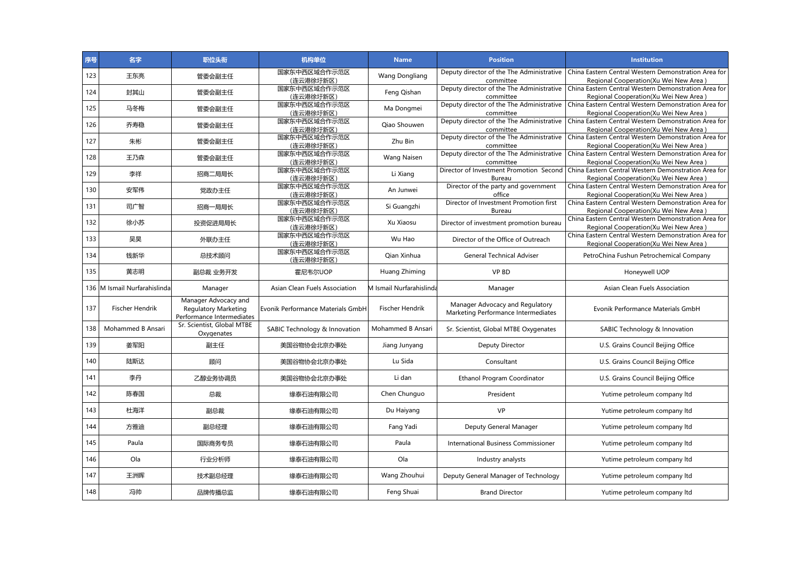| 序号  | 名字                           | 职位头衔                                                                             | 机构单位                              | <b>Name</b>              | <b>Position</b>                                                        | <b>Institution</b>                                                                                                                    |
|-----|------------------------------|----------------------------------------------------------------------------------|-----------------------------------|--------------------------|------------------------------------------------------------------------|---------------------------------------------------------------------------------------------------------------------------------------|
| 123 | 王东亮                          | 管委会副主任                                                                           | 国家东中西区域合作示范区<br>(连云港徐圩新区)         | <b>Wang Dongliang</b>    | Deputy director of the The Administrative<br>committee                 | China Eastern Central Western Demonstration Area for<br>Regional Cooperation (Xu Wei New Area)                                        |
| 124 | 封其山                          | 管委会副主任                                                                           | 国家东中西区域合作示范区<br>(连云港徐圩新区)         | Feng Qishan              | Deputy director of the The Administrative<br>committee                 | China Eastern Central Western Demonstration Area for<br>Regional Cooperation(Xu Wei New Area)                                         |
| 125 | 马冬梅                          | 管委会副主任                                                                           | 国家东中西区域合作示范区<br>(连云港徐圩新区)         | Ma Dongmei               | Deputy director of the The Administrative<br>committee                 | China Eastern Central Western Demonstration Area for<br>Regional Cooperation(Xu Wei New Area)                                         |
| 126 | 乔寿稳                          | 管委会副主任                                                                           | 国家东中西区域合作示范区<br>(连云港徐圩新区)         | Oiao Shouwen             | Deputy director of the The Administrative<br>committee                 | China Eastern Central Western Demonstration Area for<br>Regional Cooperation (Xu Wei New Area)                                        |
| 127 | 朱彬                           | 管委会副主任                                                                           | 国家东中西区域合作示范区<br>(连云港徐圩新区)         | Zhu Bin                  | Deputy director of the The Administrative<br>committee                 | China Eastern Central Western Demonstration Area for<br>Regional Cooperation(Xu Wei New Area)                                         |
| 128 | 王乃森                          | 管委会副主任                                                                           | 国家东中西区域合作示范区<br>(连云港徐圩新区)         | <b>Wang Naisen</b>       | Deputy director of the The Administrative<br>committee                 | China Eastern Central Western Demonstration Area for<br>Regional Cooperation(Xu Wei New Area)                                         |
| 129 | 李祥                           | 招商二局局长                                                                           | 国家东中西区域合作示范区<br>(连云港徐圩新区)         | Li Xiang                 | Bureau                                                                 | Director of Investment Promotion Second China Eastern Central Western Demonstration Area for<br>Regional Cooperation(Xu Wei New Area) |
| 130 | 安军伟                          | 党政办主任                                                                            | 国家东中西区域合作示范区<br>(连云港徐圩新区)         | An Junwei                | Director of the party and government<br>office                         | China Eastern Central Western Demonstration Area for<br>Regional Cooperation (Xu Wei New Area)                                        |
| 131 | 司广智                          | 招商一局局长                                                                           | 国家东中西区域合作示范区<br>(连云港徐圩新区)         | Si Guangzhi              | Director of Investment Promotion first<br><b>Bureau</b>                | China Eastern Central Western Demonstration Area for<br>Regional Cooperation(Xu Wei New Area)                                         |
| 132 | 徐小苏                          | 投资促进局局长                                                                          | 国家东中西区域合作示范区<br>(连云港徐圩新区)         | Xu Xiaosu                | Director of investment promotion bureau                                | China Eastern Central Western Demonstration Area for<br>Regional Cooperation(Xu Wei New Area)                                         |
| 133 | 吴昊                           | 外联办主任                                                                            | 国家东中西区域合作示范区<br>(连云港徐圩新区)         | Wu Hao                   | Director of the Office of Outreach                                     | China Eastern Central Western Demonstration Area for<br>Regional Cooperation(Xu Wei New Area)                                         |
| 134 | 钱新华                          | 总技术顾问                                                                            | 国家东中西区域合作示范区<br>(连云港徐圩新区)         | Qian Xinhua              | <b>General Technical Adviser</b>                                       | PetroChina Fushun Petrochemical Company                                                                                               |
| 135 | 黄志明                          | 副总裁 业务开发                                                                         | 霍尼韦尔UOP                           | Huang Zhiming            | <b>VP BD</b>                                                           | Honeywell UOP                                                                                                                         |
|     | 136 M Ismail Nurfarahislinda | Manager                                                                          | Asian Clean Fuels Association     | M Ismail Nurfarahislinda | Manager                                                                | Asian Clean Fuels Association                                                                                                         |
| 137 | <b>Fischer Hendrik</b>       | Manager Advocacy and<br><b>Regulatory Marketing</b><br>Performance Intermediates | Evonik Performance Materials GmbH | <b>Fischer Hendrik</b>   | Manager Advocacy and Regulatory<br>Marketing Performance Intermediates | Evonik Performance Materials GmbH                                                                                                     |
| 138 | Mohammed B Ansari            | Sr. Scientist, Global MTBE<br>Oxygenates                                         | SABIC Technology & Innovation     | Mohammed B Ansari        | Sr. Scientist, Global MTBE Oxygenates                                  | SABIC Technology & Innovation                                                                                                         |
| 139 | 姜军阳                          | 副主任                                                                              | 美国谷物协会北京办事处                       | Jiang Junyang            | Deputy Director                                                        | U.S. Grains Council Beijing Office                                                                                                    |
| 140 | 陆斯达                          | 顾问                                                                               | 美国谷物协会北京办事处                       | Lu Sida                  | Consultant                                                             | U.S. Grains Council Beijing Office                                                                                                    |
| 141 | 李丹                           | 乙醇业务协调员                                                                          | 美国谷物协会北京办事处                       | Li dan                   | Ethanol Program Coordinator                                            | U.S. Grains Council Beijing Office                                                                                                    |
| 142 | 陈春国                          | 总裁                                                                               | 缘泰石油有限公司                          | Chen Chunguo             | President                                                              | Yutime petroleum company ltd                                                                                                          |
| 143 | 杜海洋                          | 副总裁                                                                              | 缘泰石油有限公司                          | Du Haiyang               | <b>VP</b>                                                              | Yutime petroleum company ltd                                                                                                          |
| 144 | 方雅迪                          | 副总经理                                                                             | 缘泰石油有限公司                          | Fang Yadi                | Deputy General Manager                                                 | Yutime petroleum company ltd                                                                                                          |
| 145 | Paula                        | 国际商务专员                                                                           | 缘泰石油有限公司                          | Paula                    | International Business Commissioner                                    | Yutime petroleum company ltd                                                                                                          |
| 146 | Ola                          | 行业分析师                                                                            | 缘泰石油有限公司                          | Ola                      | Industry analysts                                                      | Yutime petroleum company ltd                                                                                                          |
| 147 | 王洲晖                          | 技术副总经理                                                                           | 缘泰石油有限公司                          | Wang Zhouhui             | Deputy General Manager of Technology                                   | Yutime petroleum company ltd                                                                                                          |
| 148 | 冯帅                           | 品牌传播总监                                                                           | 缘泰石油有限公司                          | Feng Shuai               | <b>Brand Director</b>                                                  | Yutime petroleum company ltd                                                                                                          |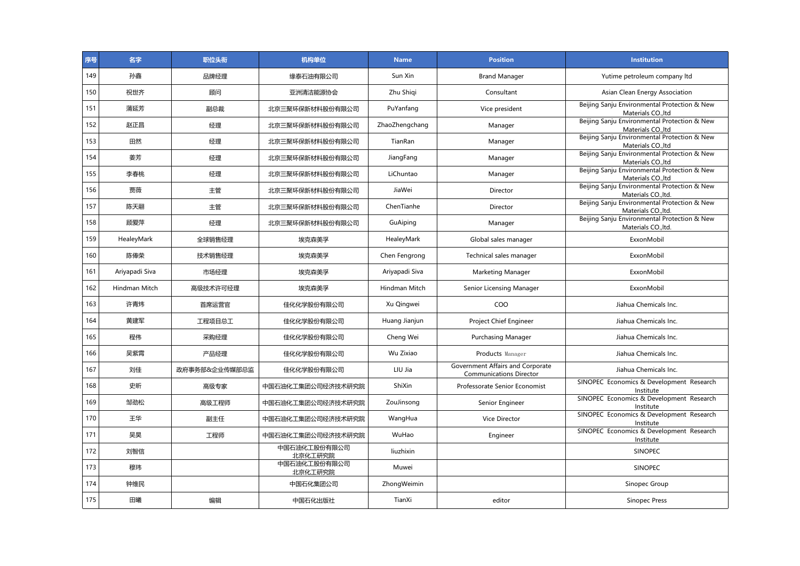| 序号  | 名字             | 职位头衔          | 机构单位                    | <b>Name</b>    | <b>Position</b>                                                    | <b>Institution</b>                                                  |
|-----|----------------|---------------|-------------------------|----------------|--------------------------------------------------------------------|---------------------------------------------------------------------|
| 149 | 孙鑫             | 品牌经理          | 缘泰石油有限公司                | Sun Xin        | <b>Brand Manager</b>                                               | Yutime petroleum company ltd                                        |
| 150 | 祝世齐            | 顾问            | 亚洲清洁能源协会                | Zhu Shiqi      | Consultant                                                         | Asian Clean Energy Association                                      |
| 151 | 蒲延芳            | 副总裁           | 北京三聚环保新材料股份有限公司         | PuYanfang      | Vice president                                                     | Beijing Sanju Environmental Protection & New<br>Materials CO., Itd  |
| 152 | 赵正昌            | 经理            | 北京三聚环保新材料股份有限公司         | ZhaoZhengchang | Manager                                                            | Beijing Sanju Environmental Protection & New<br>Materials CO., Itd  |
| 153 | 田然             | 经理            | 北京三聚环保新材料股份有限公司         | TianRan        | Manager                                                            | Beijing Sanju Environmental Protection & New<br>Materials CO., Itd  |
| 154 | 姜芳             | 经理            | 北京三聚环保新材料股份有限公司         | JiangFang      | Manager                                                            | Beijing Sanju Environmental Protection & New<br>Materials CO., Itd  |
| 155 | 李春桃            | 经理            | 北京三聚环保新材料股份有限公司         | LiChuntao      | Manager                                                            | Beijing Sanju Environmental Protection & New<br>Materials CO., Itd  |
| 156 | 贾薇             | 主管            | 北京三聚环保新材料股份有限公司         | JiaWei         | Director                                                           | Beijing Sanju Environmental Protection & New<br>Materials CO., Itd. |
| 157 | 陈天翮            | 主管            | 北京三聚环保新材料股份有限公司         | ChenTianhe     | Director                                                           | Beijing Sanju Environmental Protection & New<br>Materials CO., Itd. |
| 158 | 顾爱萍            | 经理            | 北京三聚环保新材料股份有限公司         | GuAiping       | Manager                                                            | Beijing Sanju Environmental Protection & New<br>Materials CO., Itd. |
| 159 | HealeyMark     | 全球销售经理        | 埃克森美孚                   | HealeyMark     | Global sales manager                                               | ExxonMobil                                                          |
| 160 | 陈俸荣            | 技术销售经理        | 埃克森美孚                   | Chen Fengrong  | Technical sales manager                                            | ExxonMobil                                                          |
| 161 | Ariyapadi Siva | 市场经理          | 埃克森美孚                   | Ariyapadi Siva | Marketing Manager                                                  | ExxonMobil                                                          |
| 162 | Hindman Mitch  | 高级技术许可经理      | 埃克森美孚                   | Hindman Mitch  | Senior Licensing Manager                                           | ExxonMobil                                                          |
| 163 | 许青炜            | 首席运营官         | 佳化化学股份有限公司              | Xu Qingwei     | COO                                                                | Jiahua Chemicals Inc.                                               |
| 164 | 黄建军            | 工程项目总工        | 佳化化学股份有限公司              | Huang Jianjun  | Project Chief Engineer                                             | Jiahua Chemicals Inc.                                               |
| 165 | 程伟             | 采购经理          | 佳化化学股份有限公司              | Cheng Wei      | <b>Purchasing Manager</b>                                          | Jiahua Chemicals Inc.                                               |
| 166 | 吴紫霄            | 产品经理          | 佳化化学股份有限公司              | Wu Zixiao      | Products Manager                                                   | Jiahua Chemicals Inc.                                               |
| 167 | 刘佳             | 政府事务部&企业传媒部总监 | 佳化化学股份有限公司              | LIU Jia        | Government Affairs and Corporate<br><b>Communications Director</b> | Jiahua Chemicals Inc.                                               |
| 168 | 史昕             | 高级专家          | 中国石油化工集团公司经济技术研究院       | ShiXin         | Professorate Senior Economist                                      | SINOPEC Economics & Development Research<br>Institute               |
| 169 | 邹劲松            | 高级工程师         | 中国石油化工集团公司经济技术研究院       | ZouJinsong     | Senior Engineer                                                    | SINOPEC Economics & Development Research<br>Institute               |
| 170 | 王华             | 副主任           | 中国石油化工集团公司经济技术研究院       | WangHua        | Vice Director                                                      | SINOPEC Economics & Development Research<br>Institute               |
| 171 | 昊昊             | 工程师           | 中国石油化工集团公司经济技术研究院       | WuHao          | Engineer                                                           | SINOPEC Economics & Development Research<br>Institute               |
| 172 | 刘智信            |               | 中国石油化工股份有限公司<br>北京化工研究院 | liuzhixin      |                                                                    | <b>SINOPEC</b>                                                      |
| 173 | 穆玮             |               | 中国石油化工股份有限公司<br>北京化工研究院 | Muwei          |                                                                    | SINOPEC                                                             |
| 174 | 钟维民            |               | 中国石化集团公司                | ZhongWeimin    |                                                                    | Sinopec Group                                                       |
| 175 | 田曦             | 编辑            | 中国石化出版社                 | TianXi         | editor                                                             | Sinopec Press                                                       |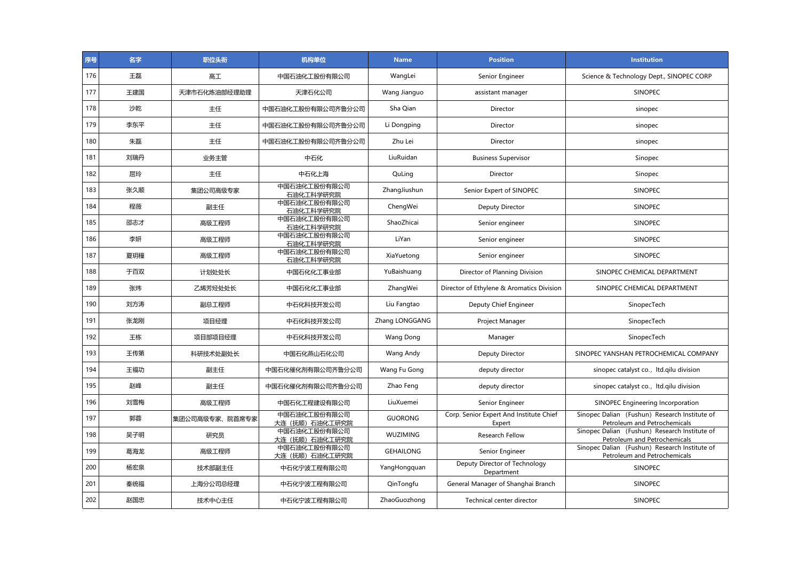| 序号  | 名字  | 职位头衔           | 机构单位                            | <b>Name</b>      | <b>Position</b>                                   | <b>Institution</b>                                                            |
|-----|-----|----------------|---------------------------------|------------------|---------------------------------------------------|-------------------------------------------------------------------------------|
| 176 | 王磊  | 高工             | 中国石油化工股份有限公司                    | WangLei          | Senior Engineer                                   | Science & Technology Dept., SINOPEC CORP                                      |
| 177 | 王建国 | 天津市石化炼油部经理助理   | 天津石化公司                          | Wang Jianguo     | assistant manager                                 | <b>SINOPEC</b>                                                                |
| 178 | 沙乾  | 主任             | 中国石油化工股份有限公司齐鲁分公司               | Sha Qian         | Director                                          | sinopec                                                                       |
| 179 | 李东平 | 主任             | 中国石油化工股份有限公司齐鲁分公司               | Li Dongping      | Director                                          | sinopec                                                                       |
| 180 | 朱磊  | 主任             | 中国石油化工股份有限公司齐鲁分公司               | Zhu Lei          | Director                                          | sinopec                                                                       |
| 181 | 刘瑞丹 | 业务主管           | 中石化                             | LiuRuidan        | <b>Business Supervisor</b>                        | Sinopec                                                                       |
| 182 | 屈玲  | 主任             | 中石化上海                           | QuLing           | Director                                          | Sinopec                                                                       |
| 183 | 张久顺 | 集团公司高级专家       | 中国石油化工股份有限公司<br>石油化工科学研究院       | ZhangJiushun     | Senior Expert of SINOPEC                          | <b>SINOPEC</b>                                                                |
| 184 | 程薇  | 副主任            | 中国石油化工股份有限公司<br>石油化工科学研究院       | ChengWei         | Deputy Director                                   | <b>SINOPEC</b>                                                                |
| 185 | 邵志才 | 高级工程师          | 中国石油化工股份有限公司<br>石油化工科学研究院       | ShaoZhicai       | Senior engineer                                   | SINOPEC                                                                       |
| 186 | 李妍  | 高级工程师          | 中国石油化工股份有限公司<br>石油化工科学研究院       | LiYan            | Senior engineer                                   | <b>SINOPEC</b>                                                                |
| 187 | 夏玥穜 | 高级工程师          | 中国石油化工股份有限公司<br>石油化工科学研究院       | XiaYuetong       | Senior engineer                                   | <b>SINOPEC</b>                                                                |
| 188 | 于百双 | 计划处处长          | 中国石化化工事业部                       | YuBaishuang      | Director of Planning Division                     | SINOPEC CHEMICAL DEPARTMENT                                                   |
| 189 | 张炜  | 乙烯芳烃处处长        | 中国石化化工事业部                       | ZhangWei         | Director of Ethylene & Aromatics Division         | SINOPEC CHEMICAL DEPARTMENT                                                   |
| 190 | 刘方涛 | 副总工程师          | 中石化科技开发公司                       | Liu Fangtao      | Deputy Chief Engineer                             | SinopecTech                                                                   |
| 191 | 张龙刚 | 项目经理           | 中石化科技开发公司                       | Zhang LONGGANG   | Project Manager                                   | SinopecTech                                                                   |
| 192 | 王栋  | 项目部项目经理        | 中石化科技开发公司                       | Wang Dong        | Manager                                           | SinopecTech                                                                   |
| 193 | 王传第 | 科研技术处副处长       | 中国石化燕山石化公司                      | Wang Andy        | Deputy Director                                   | SINOPEC YANSHAN PETROCHEMICAL COMPANY                                         |
| 194 | 王福功 | 副主任            | 中国石化催化剂有限公司齐鲁分公司                | Wang Fu Gong     | deputy director                                   | sinopec catalyst co., Itd.qilu division                                       |
| 195 | 赵峰  | 副主任            | 中国石化催化剂有限公司齐鲁分公司                | Zhao Feng        | deputy director                                   | sinopec catalyst co., Itd.qilu division                                       |
| 196 | 刘雪梅 | 高级工程师          | 中国石化工程建设有限公司                    | LiuXuemei        | Senior Engineer                                   | SINOPEC Engineering Incorporation                                             |
| 197 | 郭蓉  | 集团公司高级专家、院首席专家 | 中国石油化工股份有限公司<br>大连 (抚顺) 石油化工研究院 | <b>GUORONG</b>   | Corp. Senior Expert And Institute Chief<br>Expert | Sinopec Dalian (Fushun) Research Institute of<br>Petroleum and Petrochemicals |
| 198 | 吴子明 | 研究员            | 中国石油化工股份有限公司<br>大连(抚顺)石油化工研究院   | WUZIMING         | Research Fellow                                   | Sinopec Dalian (Fushun) Research Institute of<br>Petroleum and Petrochemicals |
| 199 | 葛海龙 | 高级工程师          | 中国石油化工股份有限公司<br>大连 (抚顺) 石油化工研究院 | <b>GEHAILONG</b> | Senior Engineer                                   | Sinopec Dalian (Fushun) Research Institute of<br>Petroleum and Petrochemicals |
| 200 | 杨宏泉 | 技术部副主任         | 中石化宁波工程有限公司                     | YangHongquan     | Deputy Director of Technology<br>Department       | SINOPEC                                                                       |
| 201 | 秦统福 | 上海分公司总经理       | 中石化宁波工程有限公司                     | QinTongfu        | General Manager of Shanghai Branch                | SINOPEC                                                                       |
| 202 | 赵国忠 | 技术中心主任         | 中石化宁波工程有限公司                     | ZhaoGuozhong     | Technical center director                         | <b>SINOPEC</b>                                                                |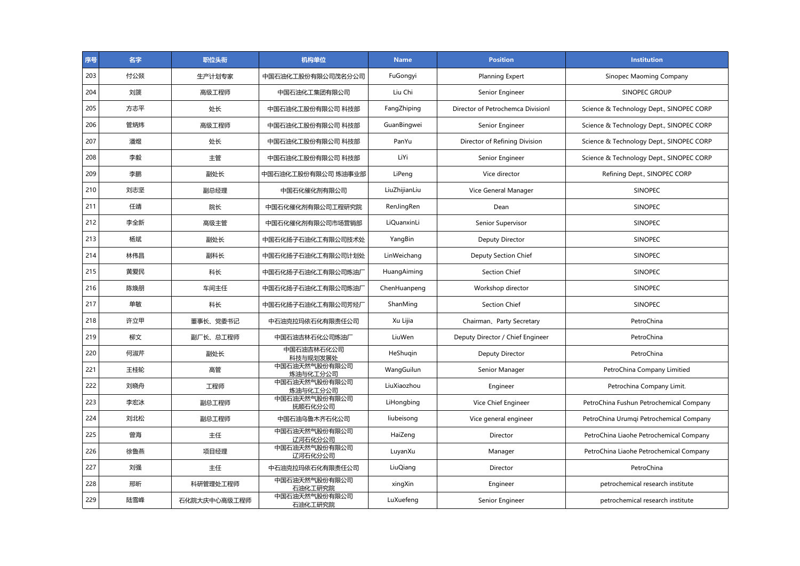| 序号  | 名字  | 职位头衔         | 机构单位                      | <b>Name</b>   | <b>Position</b>                   | <b>Institution</b>                       |
|-----|-----|--------------|---------------------------|---------------|-----------------------------------|------------------------------------------|
| 203 | 付公燚 | 生产计划专家       | 中国石油化工股份有限公司茂名分公司         | FuGongyi      | <b>Planning Expert</b>            | Sinopec Maoming Company                  |
| 204 | 刘篪  | 高级工程师        | 中国石油化工集团有限公司              | Liu Chi       | Senior Engineer                   | SINOPEC GROUP                            |
| 205 | 方志平 | 处长           | 中国石油化工股份有限公司 科技部          | FangZhiping   | Director of Petrochemca Divisionl | Science & Technology Dept., SINOPEC CORP |
| 206 | 管炳炜 | 高级工程师        | 中国石油化工股份有限公司 科技部          | GuanBingwei   | Senior Engineer                   | Science & Technology Dept., SINOPEC CORP |
| 207 | 潘煜  | 处长           | 中国石油化工股份有限公司 科技部          | PanYu         | Director of Refining Division     | Science & Technology Dept., SINOPEC CORP |
| 208 | 李毅  | 主管           | 中国石油化工股份有限公司 科技部          | LiYi          | Senior Engineer                   | Science & Technology Dept., SINOPEC CORP |
| 209 | 李鹏  | 副处长          | 中国石油化工股份有限公司 炼油事业部        | LiPeng        | Vice director                     | Refining Dept., SINOPEC CORP             |
| 210 | 刘志坚 | 副总经理         | 中国石化催化剂有限公司               | LiuZhijianLiu | Vice General Manager              | SINOPEC                                  |
| 211 | 任靖  | 院长           | 中国石化催化剂有限公司工程研究院          | RenJingRen    | Dean                              | SINOPEC                                  |
| 212 | 李全新 | 高级主管         | 中国石化催化剂有限公司市场营销部          | LiQuanxinLi   | Senior Supervisor                 | <b>SINOPEC</b>                           |
| 213 | 杨斌  | 副处长          | 中国石化扬子石油化工有限公司技术处         | YangBin       | Deputy Director                   | <b>SINOPEC</b>                           |
| 214 | 林伟昌 | 副科长          | 中国石化扬子石油化工有限公司计划处         | LinWeichang   | Deputy Section Chief              | <b>SINOPEC</b>                           |
| 215 | 黄爱民 | 科长           | 中国石化扬子石油化工有限公司炼油厂         | HuangAiming   | <b>Section Chief</b>              | <b>SINOPEC</b>                           |
| 216 | 陈焕朋 | 车间主任         | 中国石化扬子石油化工有限公司炼油厂         | ChenHuanpeng  | Workshop director                 | <b>SINOPEC</b>                           |
| 217 | 单敏  | 科长           | 中国石化扬子石油化工有限公司芳烃厂         | ShanMing      | Section Chief                     | <b>SINOPEC</b>                           |
| 218 | 许立甲 | 董事长、党委书记     | 中石油克拉玛依石化有限责任公司           | Xu Lijia      | Chairman, Party Secretary         | PetroChina                               |
| 219 | 柳文  | 副厂长、总工程师     | 中国石油吉林石化公司炼油厂             | LiuWen        | Deputy Director / Chief Engineer  | PetroChina                               |
| 220 | 何淑芹 | 副处长          | 中国石油吉林石化公司<br>科技与规划发展处    | HeShugin      | Deputy Director                   | PetroChina                               |
| 221 | 王桂轮 | 高管           | 中国石油天然气股份有限公司<br>炼油与化工分公司 | WangGuilun    | Senior Manager                    | PetroChina Company Limitied              |
| 222 | 刘晓舟 | 工程师          | 中国石油天然气股份有限公司<br>炼油与化工分公司 | LiuXiaozhou   | Engineer                          | Petrochina Company Limit.                |
| 223 | 李宏冰 | 副总工程师        | 中国石油天然气股份有限公司<br>抚顺石化分公司  | LiHongbing    | Vice Chief Engineer               | PetroChina Fushun Petrochemical Company  |
| 224 | 刘北松 | 副总工程师        | 中国石油乌鲁木齐石化公司              | liubeisong    | Vice general engineer             | PetroChina Urumqi Petrochemical Company  |
| 225 | 曾海  | 主任           | 中国石油天然气股份有限公司<br>辽河石化分公司  | HaiZeng       | Director                          | PetroChina Liaohe Petrochemical Company  |
| 226 | 徐鲁燕 | 项目经理         | 中国石油天然气股份有限公司<br>辽河石化分公司  | LuyanXu       | Manager                           | PetroChina Liaohe Petrochemical Company  |
| 227 | 刘强  | 主任           | 中石油克拉玛依石化有限责任公司           | LiuQiang      | Director                          | PetroChina                               |
| 228 | 邢昕  | 科研管理处工程师     | 中国石油天然气股份有限公司<br>石油化工研究院  | xingXin       | Engineer                          | petrochemical research institute         |
| 229 | 陆雪峰 | 石化院大庆中心高级工程师 | 中国石油天然气股份有限公司<br>石油化工研究院  | LuXuefeng     | Senior Engineer                   | petrochemical research institute         |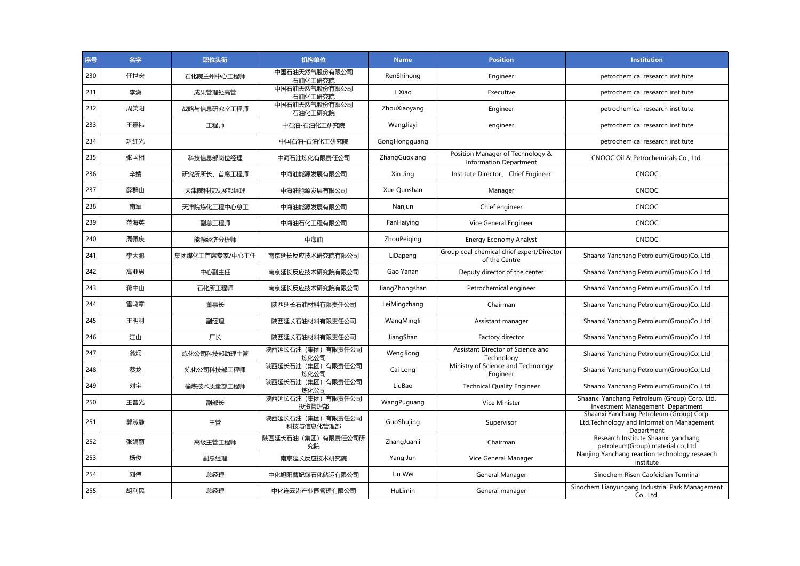| 序号  | 名字  | 职位头衔           | 机构单位                          | <b>Name</b>    | <b>Position</b>                                                   | <b>Institution</b>                                                                                  |
|-----|-----|----------------|-------------------------------|----------------|-------------------------------------------------------------------|-----------------------------------------------------------------------------------------------------|
| 230 | 任世宏 | 石化院兰州中心工程师     | 中国石油天然气股份有限公司<br>石油化工研究院      | RenShihong     | Engineer                                                          | petrochemical research institute                                                                    |
| 231 | 李潇  | 成果管理处高管        | 中国石油天然气股份有限公司<br>石油化工研究院      | LiXiao         | Executive                                                         | petrochemical research institute                                                                    |
| 232 | 周笑阳 | 战略与信息研究室工程师    | 中国石油天然气股份有限公司<br>石油化工研究院      | ZhouXiaoyang   | Engineer                                                          | petrochemical research institute                                                                    |
| 233 | 王嘉祎 | 工程师            | 中石油-石油化工研究院                   | WangJiayi      | engineer                                                          | petrochemical research institute                                                                    |
| 234 | 巩红光 |                | 中国石油-石油化工研究院                  | GongHongguang  |                                                                   | petrochemical research institute                                                                    |
| 235 | 张国相 | 科技信息部岗位经理      | 中海石油炼化有限责任公司                  | ZhangGuoxiang  | Position Manager of Technology &<br><b>Information Department</b> | CNOOC Oil & Petrochemicals Co., Ltd.                                                                |
| 236 | 辛婧  | 研究所所长、首席工程师    | 中海油能源发展有限公司                   | Xin Jing       | Institute Director, Chief Engineer                                | <b>CNOOC</b>                                                                                        |
| 237 | 薛群山 | 天津院科技发展部经理     | 中海油能源发展有限公司                   | Xue Qunshan    | Manager                                                           | <b>CNOOC</b>                                                                                        |
| 238 | 南军  | 天津院炼化工程中心总工    | 中海油能源发展有限公司                   | Nanjun         | Chief engineer                                                    | CNOOC                                                                                               |
| 239 | 范海英 | 副总工程师          | 中海油石化工程有限公司                   | FanHaiying     | Vice General Engineer                                             | <b>CNOOC</b>                                                                                        |
| 240 | 周佩庆 | 能源经济分析师        | 中海油                           | ZhouPeiging    | <b>Energy Economy Analyst</b>                                     | CNOOC                                                                                               |
| 241 | 李大鹏 | 集团煤化工首席专家/中心主任 | 南京延长反应技术研究院有限公司               | LiDapeng       | Group coal chemical chief expert/Director<br>of the Centre        | Shaanxi Yanchang Petroleum(Group)Co.,Ltd                                                            |
| 242 | 高亚男 | 中心副主任          | 南京延长反应技术研究院有限公司               | Gao Yanan      | Deputy director of the center                                     | Shaanxi Yanchang Petroleum(Group)Co.,Ltd                                                            |
| 243 | 蒋中山 | 石化所工程师         | 南京延长反应技术研究院有限公司               | JiangZhongshan | Petrochemical engineer                                            | Shaanxi Yanchang Petroleum(Group)Co.,Ltd                                                            |
| 244 | 雷鸣章 | 董事长            | 陕西延长石油材料有限责任公司                | LeiMingzhang   | Chairman                                                          | Shaanxi Yanchang Petroleum(Group)Co.,Ltd                                                            |
| 245 | 王明利 | 副经理            | 陕西延长石油材料有限责任公司                | WangMingli     | Assistant manager                                                 | Shaanxi Yanchang Petroleum(Group)Co.,Ltd                                                            |
| 246 | 江山  | 厂长             | 陕西延长石油材料有限责任公司                | JiangShan      | Factory director                                                  | Shaanxi Yanchang Petroleum(Group)Co.,Ltd                                                            |
| 247 | 翁炯  | 炼化公司科技部助理主管    | 陕西延长石油(集团)有限责任公司<br>炼化公司      | WengJiong      | Assistant Director of Science and<br>Technology                   | Shaanxi Yanchang Petroleum(Group)Co.,Ltd                                                            |
| 248 | 蔡龙  | 炼化公司科技部工程师     | 陕西延长石油(集团)有限责任公司<br>炼化公司      | Cai Long       | Ministry of Science and Technology<br>Engineer                    | Shaanxi Yanchang Petroleum(Group)Co.,Ltd                                                            |
| 249 | 刘宝  | 榆炼技术质量部工程师     | 陕西延长石油 (集团) 有限责任公司<br>炼化公司    | LiuBao         | <b>Technical Quality Engineer</b>                                 | Shaanxi Yanchang Petroleum(Group)Co.,Ltd                                                            |
| 250 | 王普光 | 副部长            | 陕西延长石油(集团)有限责任公司<br>投资管理部     | WangPuguang    | <b>Vice Minister</b>                                              | Shaanxi Yanchang Petroleum (Group) Corp. Ltd.<br>Investment Management Department                   |
| 251 | 郭淑静 | 主管             | 陕西延长石油(集团)有限责任公司<br>科技与信息化管理部 | GuoShujing     | Supervisor                                                        | Shaanxi Yanchang Petroleum (Group) Corp.<br>Ltd.Technology and Information Management<br>Department |
| 252 | 张娟丽 | 高级主管工程师        | 陕西延长石油(集团)有限责任公司研<br>究院       | ZhangJuanli    | Chairman                                                          | Research Institute Shaanxi yanchang<br>petroleum(Group) material co., Ltd                           |
| 253 | 杨俊  | 副总经理           | 南京延长反应技术研究院                   | Yang Jun       | Vice General Manager                                              | Nanjing Yanchang reaction technology reseaech<br>institute                                          |
| 254 | 刘伟  | 总经理            | 中化旭阳曹妃甸石化储运有限公司               | Liu Wei        | General Manager                                                   | Sinochem Risen Caofeidian Terminal                                                                  |
| 255 | 胡利民 | 总经理            | 中化连云港产业园管理有限公司                | HuLimin        | General manager                                                   | Sinochem Lianyungang Industrial Park Management<br>Co., Ltd.                                        |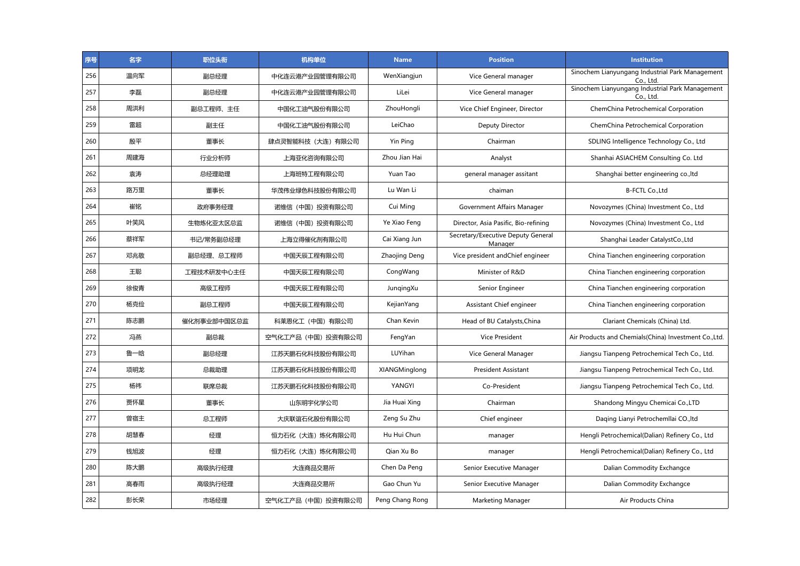| 序号  | 名字  | 职位头衔        | 机构单位               | <b>Name</b>     | <b>Position</b>                               | <b>Institution</b>                                           |
|-----|-----|-------------|--------------------|-----------------|-----------------------------------------------|--------------------------------------------------------------|
| 256 | 温向军 | 副总经理        | 中化连云港产业园管理有限公司     | WenXiangjun     | Vice General manager                          | Sinochem Lianyungang Industrial Park Management<br>Co., Ltd. |
| 257 | 李磊  | 副总经理        | 中化连云港产业园管理有限公司     | LiLei           | Vice General manager                          | Sinochem Lianyungang Industrial Park Management<br>Co., Ltd. |
| 258 | 周洪利 | 副总工程师、主任    | 中国化工油气股份有限公司       | ZhouHongli      | Vice Chief Engineer, Director                 | ChemChina Petrochemical Corporation                          |
| 259 | 雷超  | 副主任         | 中国化工油气股份有限公司       | LeiChao         | Deputy Director                               | ChemChina Petrochemical Corporation                          |
| 260 | 殷平  | 董事长         | 肆点灵智能科技(大连)有限公司    | Yin Ping        | Chairman                                      | SDLING Intelligence Technology Co., Ltd                      |
| 261 | 周建海 | 行业分析师       | 上海亚化咨询有限公司         | Zhou Jian Hai   | Analyst                                       | Shanhai ASIACHEM Consulting Co. Ltd                          |
| 262 | 袁涛  | 总经理助理       | 上海班特工程有限公司         | Yuan Tao        | general manager assitant                      | Shanghai better engineering co., Itd                         |
| 263 | 路万里 | 董事长         | 华茂伟业绿色科技股份有限公司     | Lu Wan Li       | chaiman                                       | B-FCTL Co., Ltd                                              |
| 264 | 崔铭  | 政府事务经理      | 诺维信 (中国) 投资有限公司    | Cui Ming        | Government Affairs Manager                    | Novozymes (China) Investment Co., Ltd                        |
| 265 | 叶笑风 | 生物炼化亚太区总监   | 诺维信 (中国) 投资有限公司    | Ye Xiao Feng    | Director, Asia Pasific, Bio-refining          | Novozymes (China) Investment Co., Ltd                        |
| 266 | 蔡祥军 | 书记/常务副总经理   | 上海立得催化剂有限公司        | Cai Xiang Jun   | Secretary/Executive Deputy General<br>Manager | Shanghai Leader CatalystCo., Ltd                             |
| 267 | 邓兆敬 | 副总经理、总工程师   | 中国天辰工程有限公司         | Zhaojing Deng   | Vice president and Chief engineer             | China Tianchen engineering corporation                       |
| 268 | 王聪  | 工程技术研发中心主任  | 中国天辰工程有限公司         | CongWang        | Minister of R&D                               | China Tianchen engineering corporation                       |
| 269 | 徐俊青 | 高级工程师       | 中国天辰工程有限公司         | JungingXu       | Senior Engineer                               | China Tianchen engineering corporation                       |
| 270 | 杨克俭 | 副总工程师       | 中国天辰工程有限公司         | KejianYang      | Assistant Chief engineer                      | China Tianchen engineering corporation                       |
| 271 | 陈志鹏 | 催化剂事业部中国区总监 | 科莱恩化工(中国)有限公司      | Chan Kevin      | Head of BU Catalysts, China                   | Clariant Chemicals (China) Ltd.                              |
| 272 | 冯燕  | 副总裁         | 空气化工产品 (中国) 投资有限公司 | FengYan         | <b>Vice President</b>                         | Air Products and Chemials(China) Investment Co., Ltd.        |
| 273 | 鲁一晗 | 副总经理        | 江苏天鹏石化科技股份有限公司     | LUYihan         | Vice General Manager                          | Jiangsu Tianpeng Petrochemical Tech Co., Ltd.                |
| 274 | 项明龙 | 总裁助理        | 江苏天鹏石化科技股份有限公司     | XIANGMinglong   | <b>President Assistant</b>                    | Jiangsu Tianpeng Petrochemical Tech Co., Ltd.                |
| 275 | 杨祎  | 联席总裁        | 江苏天鹏石化科技股份有限公司     | YANGYI          | Co-President                                  | Jiangsu Tianpeng Petrochemical Tech Co., Ltd.                |
| 276 | 贾怀星 | 董事长         | 山东明宇化学公司           | Jia Huai Xing   | Chairman                                      | Shandong Mingyu Chemicai Co., LTD                            |
| 277 | 曾宿主 | 总工程师        | 大庆联谊石化股份有限公司       | Zeng Su Zhu     | Chief engineer                                | Daqing Lianyi Petrochemllai CO., Itd                         |
| 278 | 胡慧春 | 经理          | 恒力石化 (大连) 炼化有限公司   | Hu Hui Chun     | manager                                       | Hengli Petrochemical(Dalian) Refinery Co., Ltd               |
| 279 | 钱旭波 | 经理          | 恒力石化 (大连) 炼化有限公司   | Oian Xu Bo      | manager                                       | Hengli Petrochemical(Dalian) Refinery Co., Ltd               |
| 280 | 陈大鹏 | 高级执行经理      | 大连商品交易所            | Chen Da Peng    | Senior Executive Manager                      | Dalian Commodity Exchangce                                   |
| 281 | 高春雨 | 高级执行经理      | 大连商品交易所            | Gao Chun Yu     | Senior Executive Manager                      | Dalian Commodity Exchangce                                   |
| 282 | 彭长荣 | 市场经理        | 空气化工产品(中国)投资有限公司   | Peng Chang Rong | Marketing Manager                             | Air Products China                                           |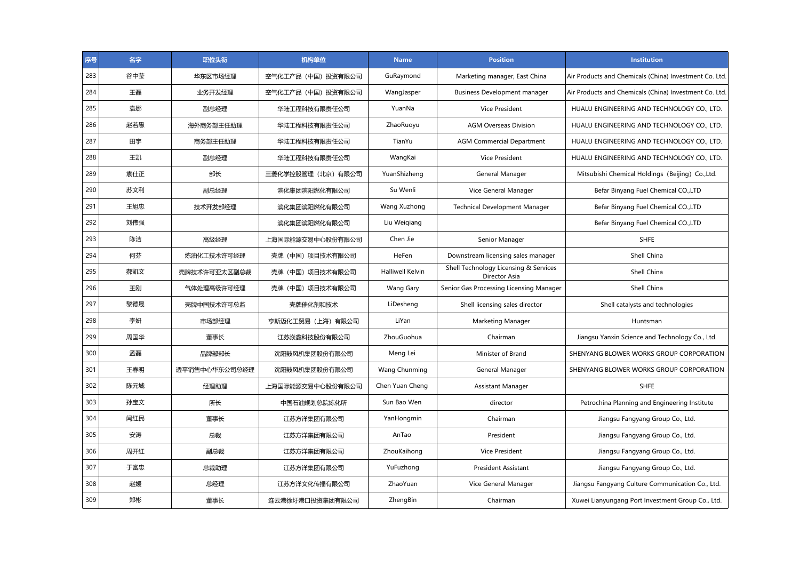| 序号  | 名字  | 职位头衔          | 机构单位               | <b>Name</b>             | <b>Position</b>                                        | <b>Institution</b>                                     |
|-----|-----|---------------|--------------------|-------------------------|--------------------------------------------------------|--------------------------------------------------------|
| 283 | 谷中莹 | 华东区市场经理       | 空气化工产品 (中国) 投资有限公司 | GuRaymond               | Marketing manager, East China                          | Air Products and Chemicals (China) Investment Co. Ltd. |
| 284 | 王磊  | 业务开发经理        | 空气化工产品(中国)投资有限公司   | WangJasper              | <b>Business Development manager</b>                    | Air Products and Chemicals (China) Investment Co. Ltd. |
| 285 | 袁娜  | 副总经理          | 华陆工程科技有限责任公司       | YuanNa                  | Vice President                                         | HUALU ENGINEERING AND TECHNOLOGY CO., LTD.             |
| 286 | 赵若愚 | 海外商务部主任助理     | 华陆工程科技有限责任公司       | ZhaoRuoyu               | <b>AGM Overseas Division</b>                           | HUALU ENGINEERING AND TECHNOLOGY CO., LTD.             |
| 287 | 田宇  | 商务部主任助理       | 华陆工程科技有限责任公司       | TianYu                  | <b>AGM Commercial Department</b>                       | HUALU ENGINEERING AND TECHNOLOGY CO., LTD.             |
| 288 | 王凯  | 副总经理          | 华陆工程科技有限责任公司       | WangKai                 | <b>Vice President</b>                                  | HUALU ENGINEERING AND TECHNOLOGY CO., LTD.             |
| 289 | 袁仕正 | 部长            | 三菱化学控股管理(北京)有限公司   | YuanShizheng            | General Manager                                        | Mitsubishi Chemical Holdings (Beijing) Co., Ltd.       |
| 290 | 苏文利 | 副总经理          | 滨化集团滨阳燃化有限公司       | Su Wenli                | Vice General Manager                                   | Befar Binyang Fuel Chemical CO., LTD                   |
| 291 | 王旭忠 | 技术开发部经理       | 滨化集团滨阳燃化有限公司       | Wang Xuzhong            | <b>Technical Development Manager</b>                   | Befar Binyang Fuel Chemical CO., LTD                   |
| 292 | 刘伟强 |               | 滨化集团滨阳燃化有限公司       | Liu Weigiang            |                                                        | Befar Binyang Fuel Chemical CO., LTD                   |
| 293 | 陈洁  | 高级经理          | 上海国际能源交易中心股份有限公司   | Chen Jie                | Senior Manager                                         | <b>SHFE</b>                                            |
| 294 | 何芬  | 炼油化工技术许可经理    | 壳牌 (中国) 项目技术有限公司   | HeFen                   | Downstream licensing sales manager                     | Shell China                                            |
| 295 | 郝凯文 | 壳牌技术许可亚太区副总裁  | 壳牌 (中国) 项目技术有限公司   | <b>Halliwell Kelvin</b> | Shell Technology Licensing & Services<br>Director Asia | Shell China                                            |
| 296 | 王刚  | 气体处理高级许可经理    | 壳牌 (中国) 项目技术有限公司   | Wang Gary               | Senior Gas Processing Licensing Manager                | Shell China                                            |
| 297 | 黎德晟 | 壳牌中国技术许可总监    | 壳牌催化剂和技术           | LiDesheng               | Shell licensing sales director                         | Shell catalysts and technologies                       |
| 298 | 李妍  | 市场部经理         | 亨斯迈化工贸易 (上海) 有限公司  | LiYan                   | Marketing Manager                                      | Huntsman                                               |
| 299 | 周国华 | 董事长           | 江苏焱鑫科技股份有限公司       | ZhouGuohua              | Chairman                                               | Jiangsu Yanxin Science and Technology Co., Ltd.        |
| 300 | 孟磊  | 品牌部部长         | 沈阳鼓风机集团股份有限公司      | Meng Lei                | Minister of Brand                                      | SHENYANG BLOWER WORKS GROUP CORPORATION                |
| 301 | 王春明 | 透平销售中心华东公司总经理 | 沈阳鼓风机集团股份有限公司      | Wang Chunming           | General Manager                                        | SHENYANG BLOWER WORKS GROUP CORPORATION                |
| 302 | 陈元城 | 经理助理          | 上海国际能源交易中心股份有限公司   | Chen Yuan Cheng         | <b>Assistant Manager</b>                               | <b>SHFE</b>                                            |
| 303 | 孙宝文 | 所长            | 中国石油规划总院炼化所        | Sun Bao Wen             | director                                               | Petrochina Planning and Engineering Institute          |
| 304 | 闫红民 | 董事长           | 江苏方洋集团有限公司         | YanHongmin              | Chairman                                               | Jiangsu Fangyang Group Co., Ltd.                       |
| 305 | 安涛  | 总裁            | 江苏方洋集团有限公司         | AnTao                   | President                                              | Jiangsu Fangyang Group Co., Ltd.                       |
| 306 | 周开红 | 副总裁           | 江苏方洋集团有限公司         | ZhouKaihong             | <b>Vice President</b>                                  | Jiangsu Fangyang Group Co., Ltd.                       |
| 307 | 于富忠 | 总裁助理          | 江苏方洋集团有限公司         | YuFuzhong               | President Assistant                                    | Jiangsu Fangyang Group Co., Ltd.                       |
| 308 | 赵媛  | 总经理           | 江苏方洋文化传播有限公司       | ZhaoYuan                | Vice General Manager                                   | Jiangsu Fangyang Culture Communication Co., Ltd.       |
| 309 | 郑彬  | 董事长           | 连云港徐圩港口投资集团有限公司    | ZhengBin                | Chairman                                               | Xuwei Lianyungang Port Investment Group Co., Ltd.      |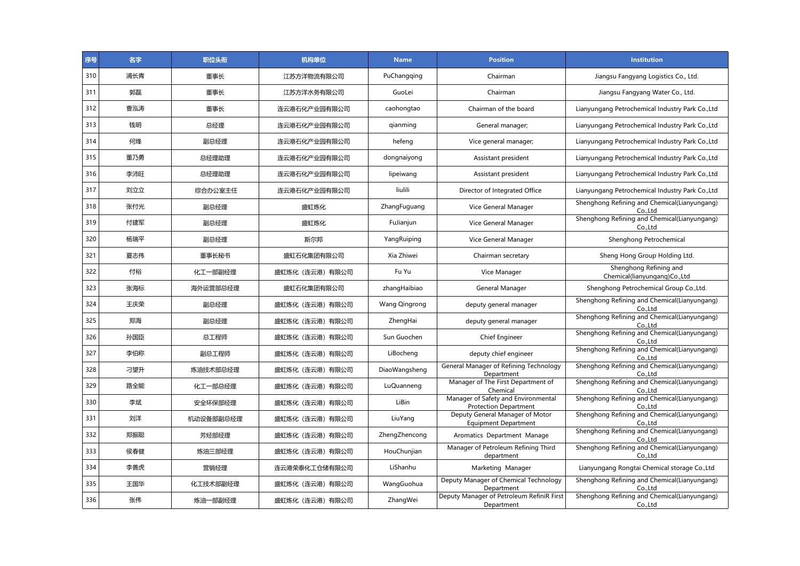| 序号  | 名字  | 职位头衔      | 机构单位            | <b>Name</b>          | <b>Position</b>                                                     | <b>Institution</b>                                      |
|-----|-----|-----------|-----------------|----------------------|---------------------------------------------------------------------|---------------------------------------------------------|
| 310 | 浦长青 | 董事长       | 江苏方洋物流有限公司      | PuChangqing          | Chairman                                                            | Jiangsu Fangyang Logistics Co., Ltd.                    |
| 311 | 郭磊  | 董事长       | 江苏方洋水务有限公司      | GuoLei               | Chairman                                                            | Jiangsu Fangyang Water Co., Ltd.                        |
| 312 | 曹泓涛 | 董事长       | 连云港石化产业园有限公司    | caohongtao           | Chairman of the board                                               | Lianyungang Petrochemical Industry Park Co., Ltd        |
| 313 | 钱明  | 总经理       | 连云港石化产业园有限公司    | gianming             | General manager;                                                    | Lianyungang Petrochemical Industry Park Co., Ltd        |
| 314 | 何烽  | 副总经理      | 连云港石化产业园有限公司    | hefeng               | Vice general manager;                                               | Lianyungang Petrochemical Industry Park Co., Ltd        |
| 315 | 董乃勇 | 总经理助理     | 连云港石化产业园有限公司    | dongnaiyong          | Assistant president                                                 | Lianyungang Petrochemical Industry Park Co., Ltd        |
| 316 | 李沛旺 | 总经理助理     | 连云港石化产业园有限公司    | lipeiwang            | Assistant president                                                 | Lianyungang Petrochemical Industry Park Co., Ltd        |
| 317 | 刘立立 | 综合办公室主任   | 连云港石化产业园有限公司    | liulili              | Director of Integrated Office                                       | Lianyungang Petrochemical Industry Park Co., Ltd        |
| 318 | 张付光 | 副总经理      | 盛虹炼化            | ZhangFuguang         | Vice General Manager                                                | Shenghong Refining and Chemical(Lianyungang)<br>Co.,Ltd |
| 319 | 付建军 | 副总经理      | 盛虹炼化            | FuJianjun            | Vice General Manager                                                | Shenghong Refining and Chemical(Lianyungang)<br>Co.,Ltd |
| 320 | 杨瑞平 | 副总经理      | 斯尔邦             | YangRuiping          | Vice General Manager                                                | Shenghong Petrochemical                                 |
| 321 | 夏志伟 | 董事长秘书     | 盛虹石化集团有限公司      | Xia Zhiwei           | Chairman secretary                                                  | Sheng Hong Group Holding Ltd.                           |
| 322 | 付裕  | 化工一部副经理   | 盛虹炼化(连云港)有限公司   | Fu Yu                | Vice Manager                                                        | Shenghong Refining and<br>Chemical(lianyungang)Co.,Ltd  |
| 323 | 张海标 | 海外运营部总经理  | 盛虹石化集团有限公司      | zhangHaibiao         | General Manager                                                     | Shenghong Petrochemical Group Co., Ltd.                 |
| 324 | 王庆荣 | 副总经理      | 盛虹炼化 (连云港) 有限公司 | <b>Wang Qingrong</b> | deputy general manager                                              | Shenghong Refining and Chemical(Lianyungang)<br>Co.,Ltd |
| 325 | 郑海  | 副总经理      | 盛虹炼化(连云港)有限公司   | ZhengHai             | deputy general manager                                              | Shenghong Refining and Chemical(Lianyungang)<br>Co.,Ltd |
| 326 | 孙国臣 | 总工程师      | 盛虹炼化 (连云港) 有限公司 | Sun Guochen          | Chief Engineer                                                      | Shenghong Refining and Chemical(Lianyungang)<br>Co.,Ltd |
| 327 | 李伯称 | 副总工程师     | 盛虹炼化 (连云港) 有限公司 | LiBocheng            | deputy chief engineer                                               | Shenghong Refining and Chemical(Lianyungang)<br>Co.,Ltd |
| 328 | 刁望升 | 炼油技术部总经理  | 盛虹炼化 (连云港) 有限公司 | DiaoWangsheng        | General Manager of Refining Technology<br>Department                | Shenghong Refining and Chemical(Lianyungang)<br>CoLtd   |
| 329 | 路全能 | 化工一部总经理   | 盛虹炼化 (连云港) 有限公司 | LuQuanneng           | Manager of The First Department of<br>Chemical                      | Shenghong Refining and Chemical(Lianyungang)<br>Co.,Ltd |
| 330 | 李斌  | 安全环保部经理   | 盛虹炼化 (连云港) 有限公司 | LiBin                | Manager of Safety and Environmental<br><b>Protection Department</b> | Shenghong Refining and Chemical(Lianyungang)<br>Co.,Ltd |
| 331 | 刘洋  | 机动设备部副总经理 | 盛虹炼化(连云港)有限公司   | LiuYang              | Deputy General Manager of Motor<br><b>Equipment Department</b>      | Shenghong Refining and Chemical(Lianyungang)<br>Co.,Ltd |
| 332 | 郑振聪 | 芳烃部经理     | 盛虹炼化(连云港)有限公司   | ZhengZhencong        | Aromatics Department Manage                                         | Shenghong Refining and Chemical(Lianyungang)<br>Co.,Ltd |
| 333 | 侯春健 | 炼油三部经理    | 盛虹炼化 (连云港) 有限公司 | HouChunjian          | Manager of Petroleum Refining Third<br>department                   | Shenghong Refining and Chemical(Lianyungang)<br>Co.,Ltd |
| 334 | 李善虎 | 营销经理      | 连云港荣泰化工仓储有限公司   | LiShanhu             | Marketing Manager                                                   | Lianyungang Rongtai Chemical storage Co., Ltd           |
| 335 | 王国华 | 化工技术部副经理  | 盛虹炼化(连云港)有限公司   | WangGuohua           | Deputy Manager of Chemical Technology<br>Department                 | Shenghong Refining and Chemical(Lianyungang)<br>Co.,Ltd |
| 336 | 张伟  | 炼油一部副经理   | 盛虹炼化 (连云港) 有限公司 | ZhangWei             | Deputy Manager of Petroleum RefiniR First<br>Department             | Shenghong Refining and Chemical(Lianyungang)<br>Co.,Ltd |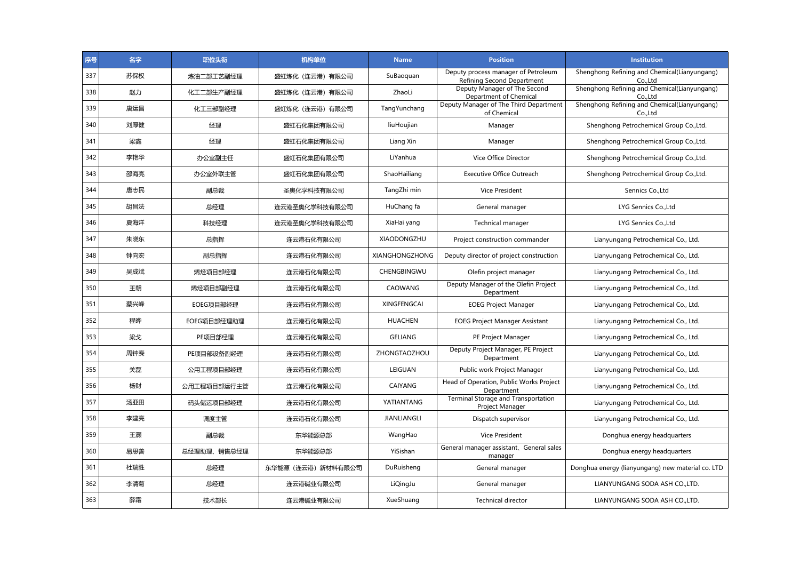| 序号  | 名字  | 职位头衔        | 机构单位               | <b>Name</b>           | <b>Position</b>                                                   | <b>Institution</b>                                      |
|-----|-----|-------------|--------------------|-----------------------|-------------------------------------------------------------------|---------------------------------------------------------|
| 337 | 苏保权 | 炼油二部工艺副经理   | 盛虹炼化(连云港)有限公司      | SuBaoquan             | Deputy process manager of Petroleum<br>Refining Second Department | Shenghong Refining and Chemical(Lianyungang)<br>Co.,Ltd |
| 338 | 赵力  | 化工二部生产副经理   | 盛虹炼化(连云港)有限公司      | ZhaoLi                | Deputy Manager of The Second<br>Department of Chemical            | Shenghong Refining and Chemical(Lianyungang)<br>Co.,Ltd |
| 339 | 唐运昌 | 化工三部副经理     | 盛虹炼化 (连云港) 有限公司    | TangYunchang          | Deputy Manager of The Third Department<br>of Chemical             | Shenghong Refining and Chemical(Lianyungang)<br>Co.,Ltd |
| 340 | 刘厚健 | 经理          | 盛虹石化集团有限公司         | liuHoujian            | Manager                                                           | Shenghong Petrochemical Group Co., Ltd.                 |
| 341 | 梁鑫  | 经理          | 盛虹石化集团有限公司         | Liang Xin             | Manager                                                           | Shenghong Petrochemical Group Co., Ltd.                 |
| 342 | 李艳华 | 办公室副主任      | 盛虹石化集团有限公司         | LiYanhua              | Vice Office Director                                              | Shenghong Petrochemical Group Co., Ltd.                 |
| 343 | 邵海亮 | 办公室外联主管     | 盛虹石化集团有限公司         | ShaoHailiang          | <b>Executive Office Outreach</b>                                  | Shenghong Petrochemical Group Co., Ltd.                 |
| 344 | 唐志民 | 副总裁         | 圣奥化学科技有限公司         | TangZhi min           | <b>Vice President</b>                                             | Sennics Co., Ltd                                        |
| 345 | 胡昌法 | 总经理         | 连云港圣奥化学科技有限公司      | HuChang fa            | General manager                                                   | LYG Sennics Co., Ltd                                    |
| 346 | 夏海洋 | 科技经理        | 连云港圣奥化学科技有限公司      | XiaHai yang           | Technical manager                                                 | LYG Sennics Co., Ltd                                    |
| 347 | 朱晓东 | 总指挥         | 连云港石化有限公司          | <b>XIAODONGZHU</b>    | Project construction commander                                    | Lianyungang Petrochemical Co., Ltd.                     |
| 348 | 钟向宏 | 副总指挥        | 连云港石化有限公司          | <b>XIANGHONGZHONG</b> | Deputy director of project construction                           | Lianyungang Petrochemical Co., Ltd.                     |
| 349 | 吴成斌 | 烯烃项目部经理     | 连云港石化有限公司          | CHENGBINGWU           | Olefin project manager                                            | Lianyungang Petrochemical Co., Ltd.                     |
| 350 | 王朝  | 烯烃项目部副经理    | 连云港石化有限公司          | CAOWANG               | Deputy Manager of the Olefin Project<br>Department                | Lianyungang Petrochemical Co., Ltd.                     |
| 351 | 蔡兴峰 | EOEG项目部经理   | 连云港石化有限公司          | <b>XINGFENGCAI</b>    | <b>EOEG Project Manager</b>                                       | Lianyungang Petrochemical Co., Ltd.                     |
| 352 | 程晔  | EOEG项目部经理助理 | 连云港石化有限公司          | <b>HUACHEN</b>        | <b>EOEG Project Manager Assistant</b>                             | Lianyungang Petrochemical Co., Ltd.                     |
| 353 | 梁戈  | PE项目部经理     | 连云港石化有限公司          | <b>GELIANG</b>        | PE Project Manager                                                | Lianyungang Petrochemical Co., Ltd.                     |
| 354 | 周钟焘 | PE项目部设备副经理  | 连云港石化有限公司          | ZHONGTAOZHOU          | Deputy Project Manager, PE Project<br>Department                  | Lianyungang Petrochemical Co., Ltd.                     |
| 355 | 关磊  | 公用工程项目部经理   | 连云港石化有限公司          | LEIGUAN               | Public work Project Manager                                       | Lianyungang Petrochemical Co., Ltd.                     |
| 356 | 杨财  | 公用工程项目部运行主管 | 连云港石化有限公司          | <b>CAIYANG</b>        | Head of Operation, Public Works Project<br>Department             | Lianyungang Petrochemical Co., Ltd.                     |
| 357 | 汤亚田 | 码头储运项目部经理   | 连云港石化有限公司          | YATIANTANG            | Terminal Storage and Transportation<br>Project Manager            | Lianyungang Petrochemical Co., Ltd.                     |
| 358 | 李建亮 | 调度主管        | 连云港石化有限公司          | <b>JIANLIANGLI</b>    | Dispatch supervisor                                               | Lianyungang Petrochemical Co., Ltd.                     |
| 359 | 王灏  | 副总裁         | 东华能源总部             | WangHao               | <b>Vice President</b>                                             | Donghua energy headquarters                             |
| 360 | 易思善 | 总经理助理、销售总经理 | 东华能源总部             | YiSishan              | General manager assistant, General sales<br>manager               | Donghua energy headquarters                             |
| 361 | 杜瑞胜 | 总经理         | 东华能源 (连云港) 新材料有限公司 | DuRuisheng            | General manager                                                   | Donghua energy (lianyungang) new material co. LTD       |
| 362 | 李清菊 | 总经理         | 连云港碱业有限公司          | LiQingJu              | General manager                                                   | LIANYUNGANG SODA ASH COLTD.                             |
| 363 | 薛霜  | 技术部长        | 连云港碱业有限公司          | XueShuang             | <b>Technical director</b>                                         | LIANYUNGANG SODA ASH CO.,LTD.                           |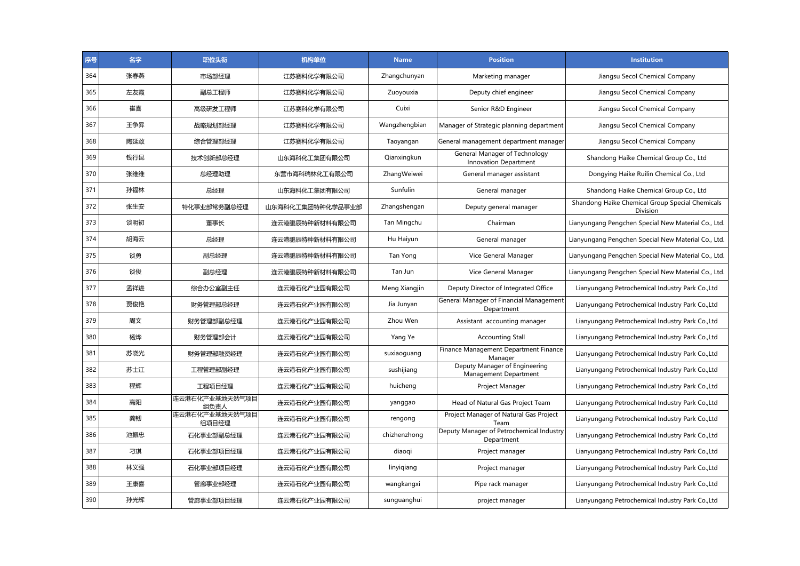| 序号  | 名字  | 职位头衔                    | 机构单位             | <b>Name</b>   | <b>Position</b>                                               | <b>Institution</b>                                          |
|-----|-----|-------------------------|------------------|---------------|---------------------------------------------------------------|-------------------------------------------------------------|
| 364 | 张春燕 | 市场部经理                   | 江苏赛科化学有限公司       | Zhangchunyan  | Marketing manager                                             | Jiangsu Secol Chemical Company                              |
| 365 | 左友霞 | 副总工程师                   | 江苏赛科化学有限公司       | Zuoyouxia     | Deputy chief engineer                                         | Jiangsu Secol Chemical Company                              |
| 366 | 崔喜  | 高级研发工程师                 | 江苏赛科化学有限公司       | Cuixi         | Senior R&D Engineer                                           | Jiangsu Secol Chemical Company                              |
| 367 | 王争昪 | 战略规划部经理                 | 江苏赛科化学有限公司       | Wangzhengbian | Manager of Strategic planning department                      | Jiangsu Secol Chemical Company                              |
| 368 | 陶延敢 | 综合管理部经理                 | 江苏赛科化学有限公司       | Taoyangan     | General management department manager                         | Jiangsu Secol Chemical Company                              |
| 369 | 钱行昆 | 技术创新部总经理                | 山东海科化工集团有限公司     | Qianxingkun   | General Manager of Technology<br><b>Innovation Department</b> | Shandong Haike Chemical Group Co., Ltd                      |
| 370 | 张维维 | 总经理助理                   | 东营市海科瑞林化工有限公司    | ZhangWeiwei   | General manager assistant                                     | Dongying Haike Ruilin Chemical Co., Ltd                     |
| 371 | 孙福林 | 总经理                     | 山东海科化工集团有限公司     | Sunfulin      | General manager                                               | Shandong Haike Chemical Group Co., Ltd                      |
| 372 | 张生安 | 特化事业部常务副总经理             | 山东海科化工集团特种化学品事业部 | Zhangshengan  | Deputy general manager                                        | Shandong Haike Chemical Group Special Chemicals<br>Division |
| 373 | 谈明初 | 董事长                     | 连云港鹏辰特种新材料有限公司   | Tan Mingchu   | Chairman                                                      | Lianyungang Pengchen Special New Material Co., Ltd.         |
| 374 | 胡海云 | 总经理                     | 连云港鹏辰特种新材料有限公司   | Hu Haiyun     | General manager                                               | Lianyungang Pengchen Special New Material Co., Ltd.         |
| 375 | 谈勇  | 副总经理                    | 连云港鹏辰特种新材料有限公司   | Tan Yong      | Vice General Manager                                          | Lianyungang Pengchen Special New Material Co., Ltd.         |
| 376 | 谈俊  | 副总经理                    | 连云港鹏辰特种新材料有限公司   | Tan Jun       | Vice General Manager                                          | Lianyungang Pengchen Special New Material Co., Ltd.         |
| 377 | 孟祥进 | 综合办公室副主任                | 连云港石化产业园有限公司     | Meng Xiangjin | Deputy Director of Integrated Office                          | Lianyungang Petrochemical Industry Park Co., Ltd            |
| 378 | 贾俊艳 | 财务管理部总经理                | 连云港石化产业园有限公司     | Jia Junyan    | General Manager of Financial Management<br>Department         | Lianyungang Petrochemical Industry Park Co., Ltd            |
| 379 | 周文  | 财务管理部副总经理               | 连云港石化产业园有限公司     | Zhou Wen      | Assistant accounting manager                                  | Lianyungang Petrochemical Industry Park Co., Ltd            |
| 380 | 杨烨  | 财务管理部会计                 | 连云港石化产业园有限公司     | Yang Ye       | <b>Accounting Stall</b>                                       | Lianyungang Petrochemical Industry Park Co., Ltd            |
| 381 | 苏晓光 | 财务管理部融资经理               | 连云港石化产业园有限公司     | suxiaoguang   | Finance Management Department Finance<br>Manager              | Lianyungang Petrochemical Industry Park Co., Ltd            |
| 382 | 苏士江 | 工程管理部副经理                | 连云港石化产业园有限公司     | sushijiang    | Deputy Manager of Engineering<br>Management Department        | Lianyungang Petrochemical Industry Park Co., Ltd            |
| 383 | 程辉  | 工程项目经理                  | 连云港石化产业园有限公司     | huicheng      | Project Manager                                               | Lianyungang Petrochemical Industry Park Co., Ltd            |
| 384 | 高阳  | 连云港石化产业基地天然气项目<br>组负责人  | 连云港石化产业园有限公司     | yanggao       | Head of Natural Gas Project Team                              | Lianyungang Petrochemical Industry Park Co., Ltd            |
| 385 | 龚韧  | 连云港石化产业基地天然气项目<br>组项目经理 | 连云港石化产业园有限公司     | rengong       | Project Manager of Natural Gas Project<br>Team                | Lianyungang Petrochemical Industry Park Co., Ltd            |
| 386 | 池振忠 | 石化事业部副总经理               | 连云港石化产业园有限公司     | chizhenzhong  | Deputy Manager of Petrochemical Industry<br>Department        | Lianyungang Petrochemical Industry Park Co., Ltd            |
| 387 | 刁琪  | 石化事业部项目经理               | 连云港石化产业园有限公司     | diaogi        | Project manager                                               | Lianyungang Petrochemical Industry Park Co., Ltd            |
| 388 | 林义强 | 石化事业部项目经理               | 连云港石化产业园有限公司     | linyiqiang    | Project manager                                               | Lianyungang Petrochemical Industry Park Co., Ltd            |
| 389 | 王康喜 | 管廊事业部经理                 | 连云港石化产业园有限公司     | wangkangxi    | Pipe rack manager                                             | Lianyungang Petrochemical Industry Park Co., Ltd            |
| 390 | 孙光辉 | 管廊事业部项目经理               | 连云港石化产业园有限公司     | sunguanghui   | project manager                                               | Lianyungang Petrochemical Industry Park Co., Ltd            |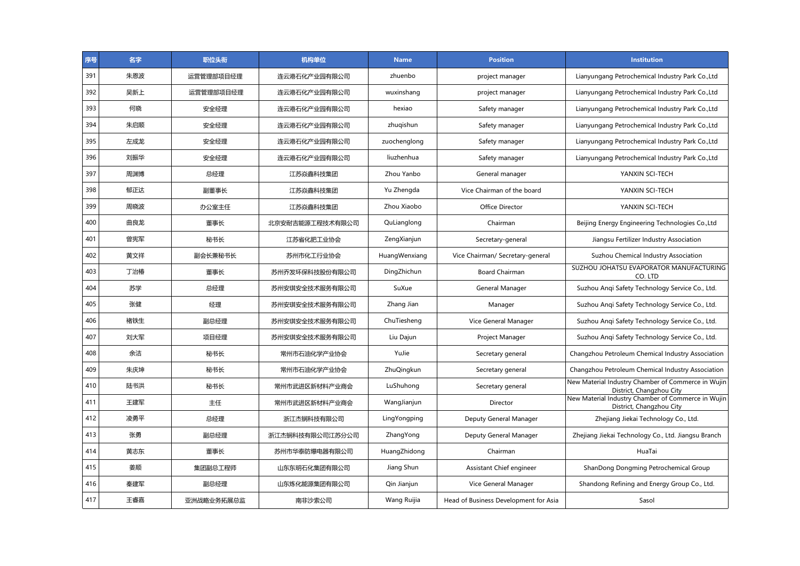| 序号  | 名字  | 职位头衔       | 机构单位            | <b>Name</b>   | <b>Position</b>                       | <b>Institution</b>                                                             |
|-----|-----|------------|-----------------|---------------|---------------------------------------|--------------------------------------------------------------------------------|
| 391 | 朱恩波 | 运营管理部项目经理  | 连云港石化产业园有限公司    | zhuenbo       | project manager                       | Lianyungang Petrochemical Industry Park Co., Ltd                               |
| 392 | 吴新上 | 运营管理部项目经理  | 连云港石化产业园有限公司    | wuxinshang    | project manager                       | Lianyungang Petrochemical Industry Park Co., Ltd                               |
| 393 | 何晓  | 安全经理       | 连云港石化产业园有限公司    | hexiao        | Safety manager                        | Lianyungang Petrochemical Industry Park Co., Ltd                               |
| 394 | 朱启顺 | 安全经理       | 连云港石化产业园有限公司    | zhugishun     | Safety manager                        | Lianyungang Petrochemical Industry Park Co., Ltd                               |
| 395 | 左成龙 | 安全经理       | 连云港石化产业园有限公司    | zuochenglong  | Safety manager                        | Lianyungang Petrochemical Industry Park Co., Ltd                               |
| 396 | 刘振华 | 安全经理       | 连云港石化产业园有限公司    | liuzhenhua    | Safety manager                        | Lianyungang Petrochemical Industry Park Co., Ltd                               |
| 397 | 周渊博 | 总经理        | 江苏焱鑫科技集团        | Zhou Yanbo    | General manager                       | YANXIN SCI-TECH                                                                |
| 398 | 郁正达 | 副董事长       | 江苏焱鑫科技集团        | Yu Zhengda    | Vice Chairman of the board            | YANXIN SCI-TECH                                                                |
| 399 | 周晓波 | 办公室主任      | 江苏焱鑫科技集团        | Zhou Xiaobo   | Office Director                       | YANXIN SCI-TECH                                                                |
| 400 | 曲良龙 | 董事长        | 北京安耐吉能源工程技术有限公司 | QuLianglong   | Chairman                              | Beijing Energy Engineering Technologies Co., Ltd                               |
| 401 | 曾宪军 | 秘书长        | 江苏省化肥工业协会       | ZengXianjun   | Secretary-general                     | Jiangsu Fertilizer Industry Association                                        |
| 402 | 黄文祥 | 副会长兼秘书长    | 苏州市化工行业协会       | HuangWenxiang | Vice Chairman/ Secretary-general      | Suzhou Chemical Industry Association                                           |
| 403 | 丁治椿 | 董事长        | 苏州乔发环保科技股份有限公司  | DingZhichun   | <b>Board Chairman</b>                 | SUZHOU JOHATSU EVAPORATOR MANUFACTURING<br>CO. LTD                             |
| 404 | 苏学  | 总经理        | 苏州安琪安全技术服务有限公司  | SuXue         | General Manager                       | Suzhou Angi Safety Technology Service Co., Ltd.                                |
| 405 | 张健  | 经理         | 苏州安琪安全技术服务有限公司  | Zhang Jian    | Manager                               | Suzhou Angi Safety Technology Service Co., Ltd.                                |
| 406 | 褚铁生 | 副总经理       | 苏州安琪安全技术服务有限公司  | ChuTiesheng   | Vice General Manager                  | Suzhou Angi Safety Technology Service Co., Ltd.                                |
| 407 | 刘大军 | 项目经理       | 苏州安琪安全技术服务有限公司  | Liu Dajun     | Project Manager                       | Suzhou Angi Safety Technology Service Co., Ltd.                                |
| 408 | 余洁  | 秘书长        | 常州市石油化学产业协会     | YuJie         | Secretary general                     | Changzhou Petroleum Chemical Industry Association                              |
| 409 | 朱庆坤 | 秘书长        | 常州市石油化学产业协会     | ZhuQingkun    | Secretary general                     | Changzhou Petroleum Chemical Industry Association                              |
| 410 | 陆书洪 | 秘书长        | 常州市武进区新材料产业商会   | LuShuhong     | Secretary general                     | New Material Industry Chamber of Commerce in Wujin<br>District, Changzhou City |
| 411 | 王建军 | 主任         | 常州市武进区新材料产业商会   | WangJianjun   | Director                              | New Material Industry Chamber of Commerce in Wujin<br>District, Changzhou City |
| 412 | 凌勇平 | 总经理        | 浙江杰锎科技有限公司      | LingYongping  | Deputy General Manager                | Zhejiang Jiekai Technology Co., Ltd.                                           |
| 413 | 张勇  | 副总经理       | 浙江杰锎科技有限公司江苏分公司 | ZhangYong     | Deputy General Manager                | Zhejiang Jiekai Technology Co., Ltd. Jiangsu Branch                            |
| 414 | 黄志东 | 董事长        | 苏州市华泰防爆电器有限公司   | HuangZhidong  | Chairman                              | HuaTai                                                                         |
| 415 | 姜顺  | 集团副总工程师    | 山东东明石化集团有限公司    | Jiang Shun    | Assistant Chief engineer              | ShanDong Dongming Petrochemical Group                                          |
| 416 | 秦建军 | 副总经理       | 山东炼化能源集团有限公司    | Qin Jianjun   | Vice General Manager                  | Shandong Refining and Energy Group Co., Ltd.                                   |
| 417 | 王睿嘉 | 亚洲战略业务拓展总监 | 南非沙索公司          | Wang Ruijia   | Head of Business Development for Asia | Sasol                                                                          |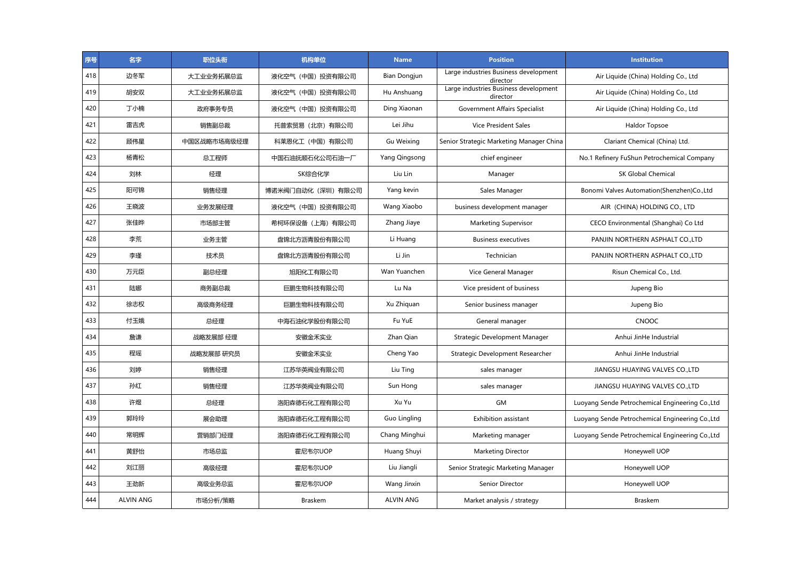| 序号  | 名字               | 职位头衔        | 机构单位               | <b>Name</b>       | <b>Position</b>                                   | <b>Institution</b>                               |
|-----|------------------|-------------|--------------------|-------------------|---------------------------------------------------|--------------------------------------------------|
| 418 | 边冬军              | 大工业业务拓展总监   | 液化空气(中国)投资有限公司     | Bian Dongjun      | Large industries Business development<br>director | Air Liquide (China) Holding Co., Ltd             |
| 419 | 胡安双              | 大工业业务拓展总监   | 液化空气(中国)投资有限公司     | Hu Anshuang       | Large industries Business development<br>director | Air Liquide (China) Holding Co., Ltd             |
| 420 | 丁小楠              | 政府事务专员      | 液化空气(中国)投资有限公司     | Ding Xiaonan      | Government Affairs Specialist                     | Air Liquide (China) Holding Co., Ltd             |
| 421 | 雷吉虎              | 销售副总裁       | 托普索贸易 (北京) 有限公司    | Lei Jihu          | <b>Vice President Sales</b>                       | Haldor Topsoe                                    |
| 422 | 顾伟星              | 中国区战略市场高级经理 | 科莱恩化工(中国)有限公司      | <b>Gu Weixing</b> | Senior Strategic Marketing Manager China          | Clariant Chemical (China) Ltd.                   |
| 423 | 杨青松              | 总工程师        | 中国石油抚顺石化公司石油一厂     | Yang Qingsong     | chief engineer                                    | No.1 Refinery FuShun Petrochemical Company       |
| 424 | 刘林               | 经理          | SK综合化学             | Liu Lin           | Manager                                           | <b>SK Global Chemical</b>                        |
| 425 | 阳可锦              | 销售经理        | 博诺米阀门自动化 (深圳) 有限公司 | Yang kevin        | Sales Manager                                     | Bonomi Valves Automation(Shenzhen)Co.,Ltd        |
| 426 | 王晓波              | 业务发展经理      | 液化空气(中国)投资有限公司     | Wang Xiaobo       | business development manager                      | AIR (CHINA) HOLDING CO., LTD                     |
| 427 | 张佳晔              | 市场部主管       | 希柯环保设备(上海)有限公司     | Zhang Jiaye       | <b>Marketing Supervisor</b>                       | CECO Environmental (Shanghai) Co Ltd             |
| 428 | 李荒               | 业务主管        | 盘锦北方沥青股份有限公司       | Li Huang          | <b>Business executives</b>                        | PANJIN NORTHERN ASPHALT CO.,LTD                  |
| 429 | 李瑾               | 技术员         | 盘锦北方沥青股份有限公司       | Li Jin            | Technician                                        | PANJIN NORTHERN ASPHALT CO., LTD                 |
| 430 | 万元臣              | 副总经理        | 旭阳化工有限公司           | Wan Yuanchen      | Vice General Manager                              | Risun Chemical Co., Ltd.                         |
| 431 | 陆娜               | 商务副总裁       | 巨鹏生物科技有限公司         | Lu Na             | Vice president of business                        | Jupeng Bio                                       |
| 432 | 徐志权              | 高级商务经理      | 巨鹏生物科技有限公司         | Xu Zhiquan        | Senior business manager                           | Jupeng Bio                                       |
| 433 | 付玉娥              | 总经理         | 中海石油化学股份有限公司       | Fu YuE            | General manager                                   | <b>CNOOC</b>                                     |
| 434 | 詹谦               | 战略发展部 经理    | 安徽金禾实业             | Zhan Qian         | Strategic Development Manager                     | Anhui JinHe Industrial                           |
| 435 | 程瑶               | 战略发展部 研究员   | 安徽金禾实业             | Cheng Yao         | Strategic Development Researcher                  | Anhui JinHe Industrial                           |
| 436 | 刘婷               | 销售经理        | 江苏华英阀业有限公司         | Liu Ting          | sales manager                                     | JIANGSU HUAYING VALVES CO.,LTD                   |
| 437 | 孙红               | 销售经理        | 江苏华英阀业有限公司         | Sun Hong          | sales manager                                     | JIANGSU HUAYING VALVES COLTD                     |
| 438 | 许煜               | 总经理         | 洛阳森德石化工程有限公司       | Xu Yu             | <b>GM</b>                                         | Luoyang Sende Petrochemical Engineering Co., Ltd |
| 439 | 郭玲玲              | 展会助理        | 洛阳森德石化工程有限公司       | Guo Lingling      | Exhibition assistant                              | Luoyang Sende Petrochemical Engineering Co., Ltd |
| 440 | 常明辉              | 营销部门经理      | 洛阳森德石化工程有限公司       | Chang Minghui     | Marketing manager                                 | Luoyang Sende Petrochemical Engineering Co., Ltd |
| 441 | 黄舒怡              | 市场总监        | 霍尼韦尔UOP            | Huang Shuyi       | Marketing Director                                | Honeywell UOP                                    |
| 442 | 刘江丽              | 高级经理        | 霍尼韦尔UOP            | Liu Jiangli       | Senior Strategic Marketing Manager                | Honeywell UOP                                    |
| 443 | 王劲新              | 高级业务总监      | 霍尼韦尔UOP            | Wang Jinxin       | Senior Director                                   | Honeywell UOP                                    |
| 444 | <b>ALVIN ANG</b> | 市场分析/策略     | <b>Braskem</b>     | <b>ALVIN ANG</b>  | Market analysis / strategy                        | <b>Braskem</b>                                   |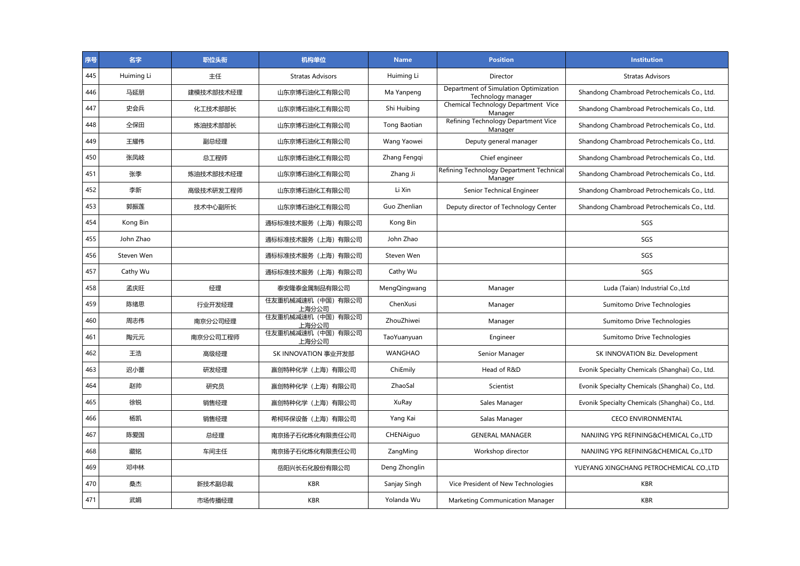| 序号  | 名字         | 职位头衔      | 机构单位                        | <b>Name</b>    | <b>Position</b>                                             | <b>Institution</b>                              |
|-----|------------|-----------|-----------------------------|----------------|-------------------------------------------------------------|-------------------------------------------------|
| 445 | Huiming Li | 主任        | <b>Stratas Advisors</b>     | Huiming Li     | Director                                                    | <b>Stratas Advisors</b>                         |
| 446 | 马延朋        | 建模技术部技术经理 | 山东京博石油化工有限公司                | Ma Yanpeng     | Department of Simulation Optimization<br>Technology manager | Shandong Chambroad Petrochemicals Co., Ltd.     |
| 447 | 史会兵        | 化工技术部部长   | 山东京博石油化工有限公司                | Shi Huibing    | Chemical Technology Department Vice<br>Manager              | Shandong Chambroad Petrochemicals Co., Ltd.     |
| 448 | 仝保田        | 炼油技术部部长   | 山东京博石油化工有限公司                | Tong Baotian   | Refining Technology Department Vice<br>Manager              | Shandong Chambroad Petrochemicals Co., Ltd.     |
| 449 | 王耀伟        | 副总经理      | 山东京博石油化工有限公司                | Wang Yaowei    | Deputy general manager                                      | Shandong Chambroad Petrochemicals Co., Ltd.     |
| 450 | 张凤岐        | 总工程师      | 山东京博石油化工有限公司                | Zhang Fenggi   | Chief engineer                                              | Shandong Chambroad Petrochemicals Co., Ltd.     |
| 451 | 张季         | 炼油技术部技术经理 | 山东京博石油化工有限公司                | Zhang Ji       | Refining Technology Department Technical<br>Manager         | Shandong Chambroad Petrochemicals Co., Ltd.     |
| 452 | 李新         | 高级技术研发工程师 | 山东京博石油化工有限公司                | Li Xin         | Senior Technical Engineer                                   | Shandong Chambroad Petrochemicals Co., Ltd.     |
| 453 | 郭振莲        | 技术中心副所长   | 山东京博石油化工有限公司                | Guo Zhenlian   | Deputy director of Technology Center                        | Shandong Chambroad Petrochemicals Co., Ltd.     |
| 454 | Kong Bin   |           | 通标标准技术服务(上海)有限公司            | Kong Bin       |                                                             | SGS                                             |
| 455 | John Zhao  |           | 通标标准技术服务(上海)有限公司            | John Zhao      |                                                             | SGS                                             |
| 456 | Steven Wen |           | 通标标准技术服务 (上海) 有限公司          | Steven Wen     |                                                             | SGS                                             |
| 457 | Cathy Wu   |           | 通标标准技术服务(上海)有限公司            | Cathy Wu       |                                                             | SGS                                             |
| 458 | 孟庆旺        | 经理        | 泰安隆泰金属制品有限公司                | MengQingwang   | Manager                                                     | Luda (Taian) Industrial Co., Ltd                |
| 459 | 陈绪思        | 行业开发经理    | 住友重机械减速机(中国)有限公司<br>上海分公司   | ChenXusi       | Manager                                                     | Sumitomo Drive Technologies                     |
| 460 | 周志伟        | 南京分公司经理   | 住友重机械减速机(中国)有限公司<br>上海分公司   | ZhouZhiwei     | Manager                                                     | Sumitomo Drive Technologies                     |
| 461 | 陶元元        | 南京分公司工程师  | 住友重机械减速机 (中国) 有限公司<br>上海分公司 | TaoYuanyuan    | Engineer                                                    | Sumitomo Drive Technologies                     |
| 462 | 王浩         | 高级经理      | SK INNOVATION 事业开发部         | <b>WANGHAO</b> | Senior Manager                                              | SK INNOVATION Biz. Development                  |
| 463 | 迟小蕾        | 研发经理      | 赢创特种化学(上海)有限公司              | ChiEmily       | Head of R&D                                                 | Evonik Specialty Chemicals (Shanghai) Co., Ltd. |
| 464 | 赵帅         | 研究员       | 赢创特种化学(上海)有限公司              | ZhaoSal        | Scientist                                                   | Evonik Specialty Chemicals (Shanghai) Co., Ltd. |
| 465 | 徐锐         | 销售经理      | 赢创特种化学(上海)有限公司              | XuRay          | Sales Manager                                               | Evonik Specialty Chemicals (Shanghai) Co., Ltd. |
| 466 | 杨凯         | 销售经理      | 希柯环保设备 (上海) 有限公司            | Yang Kai       | Salas Manager                                               | <b>CECO ENVIRONMENTAL</b>                       |
| 467 | 陈爱国        | 总经理       | 南京扬子石化炼化有限责任公司              | CHENAiguo      | <b>GENERAL MANAGER</b>                                      | NANJING YPG REFINING&CHEMICAL Co.,LTD           |
| 468 | 藏铭         | 车间主任      | 南京扬子石化炼化有限责任公司              | ZangMing       | Workshop director                                           | NANJING YPG REFINING&CHEMICAL Co.,LTD           |
| 469 | 邓中林        |           | 岳阳兴长石化股份有限公司                | Deng Zhonglin  |                                                             | YUEYANG XINGCHANG PETROCHEMICAL CO.,LTD         |
| 470 | 桑杰         | 新技术副总裁    | <b>KBR</b>                  | Sanjay Singh   | Vice President of New Technologies                          | <b>KBR</b>                                      |
| 471 | 武娼         | 市场传播经理    | <b>KBR</b>                  | Yolanda Wu     | Marketing Communication Manager                             | <b>KBR</b>                                      |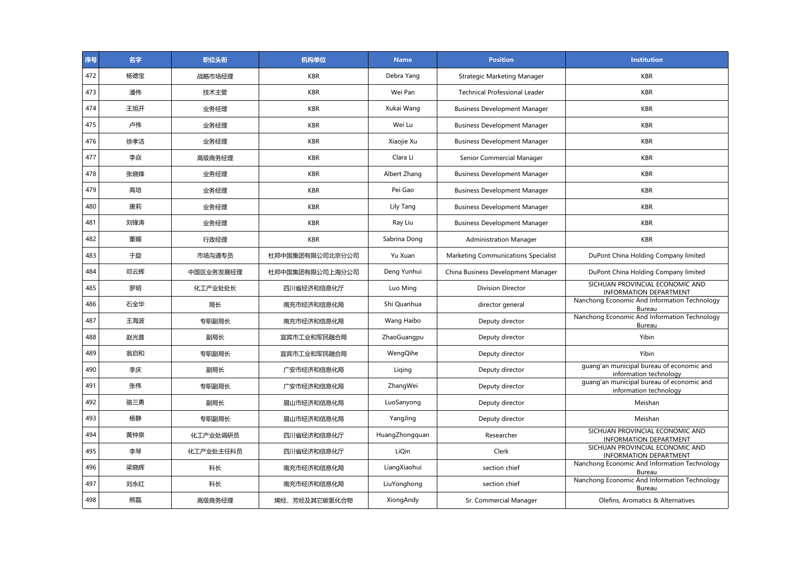| 序号  | 名字  | 职位头衔      | 机构单位            | <b>Name</b>    | <b>Position</b>                            | <b>Institution</b>                                                  |
|-----|-----|-----------|-----------------|----------------|--------------------------------------------|---------------------------------------------------------------------|
| 472 | 杨德宝 | 战略市场经理    | <b>KBR</b>      | Debra Yang     | <b>Strategic Marketing Manager</b>         | <b>KBR</b>                                                          |
| 473 | 潘伟  | 技术主管      | <b>KBR</b>      | Wei Pan        | <b>Technical Professional Leader</b>       | <b>KBR</b>                                                          |
| 474 | 王旭开 | 业务经理      | <b>KBR</b>      | Xukai Wang     | <b>Business Development Manager</b>        | <b>KBR</b>                                                          |
| 475 | 卢伟  | 业务经理      | <b>KBR</b>      | Wei Lu         | <b>Business Development Manager</b>        | <b>KBR</b>                                                          |
| 476 | 徐孝洁 | 业务经理      | <b>KBR</b>      | Xiaojie Xu     | <b>Business Development Manager</b>        | <b>KBR</b>                                                          |
| 477 | 李焱  | 高级商务经理    | <b>KBR</b>      | Clara Li       | Senior Commercial Manager                  | <b>KBR</b>                                                          |
| 478 | 张晓锋 | 业务经理      | <b>KBR</b>      | Albert Zhang   | <b>Business Development Manager</b>        | <b>KBR</b>                                                          |
| 479 | 高培  | 业务经理      | <b>KBR</b>      | Pei Gao        | <b>Business Development Manager</b>        | <b>KBR</b>                                                          |
| 480 | 唐莉  | 业务经理      | <b>KBR</b>      | Lily Tang      | <b>Business Development Manager</b>        | <b>KBR</b>                                                          |
| 481 | 刘锋涛 | 业务经理      | <b>KBR</b>      | Ray Liu        | <b>Business Development Manager</b>        | <b>KBR</b>                                                          |
| 482 | 董媚  | 行政经理      | <b>KBR</b>      | Sabrina Dong   | <b>Administration Manager</b>              | <b>KBR</b>                                                          |
| 483 | 于旋  | 市场沟通专员    | 杜邦中国集团有限公司北京分公司 | Yu Xuan        | <b>Marketing Communications Specialist</b> | DuPont China Holding Company limited                                |
| 484 | 邓云辉 | 中国区业务发展经理 | 杜邦中国集团有限公司上海分公司 | Deng Yunhui    | China Business Development Manager         | DuPont China Holding Company limited                                |
| 485 | 罗明  | 化工产业处处长   | 四川省经济和信息化厅      | Luo Ming       | Division Director                          | SICHUAN PROVINCIAL ECONOMIC AND<br><b>INFORMATION DEPARTMENT</b>    |
| 486 | 石全华 | 局长        | 南充市经济和信息化局      | Shi Quanhua    | director general                           | Nanchong Economic And Information Technology<br>Bureau              |
| 487 | 王海波 | 专职副局长     | 南充市经济和信息化局      | Wang Haibo     | Deputy director                            | Nanchong Economic And Information Technology<br>Bureau              |
| 488 | 赵光普 | 副局长       | 宜宾市工业和军民融合局     | ZhaoGuangpu    | Deputy director                            | Yibin                                                               |
| 489 | 翁启和 | 专职副局长     | 宜宾市工业和军民融合局     | WengQihe       | Deputy director                            | Yibin                                                               |
| 490 | 李庆  | 副局长       | 广安市经济和信息化局      | Liging         | Deputy director                            | guang'an municipal bureau of economic and<br>information technology |
| 491 | 张伟  | 专职副局长     | 广安市经济和信息化局      | ZhangWei       | Deputy director                            | guang'an municipal bureau of economic and<br>information technology |
| 492 | 骆三勇 | 副局长       | 眉山市经济和信息化局      | LuoSanyong     | Deputy director                            | Meishan                                                             |
| 493 | 杨静  | 专职副局长     | 眉山市经济和信息化局      | YangJing       | Deputy director                            | Meishan                                                             |
| 494 | 黄仲泉 | 化工产业处调研员  | 四川省经济和信息化厅      | HuangZhongquan | Researcher                                 | SICHUAN PROVINCIAL ECONOMIC AND<br><b>INFORMATION DEPARTMENT</b>    |
| 495 | 李琴  | 化工产业处主任科员 | 四川省经济和信息化厅      | LiQin          | Clerk                                      | SICHUAN PROVINCIAL ECONOMIC AND<br><b>INFORMATION DEPARTMENT</b>    |
| 496 | 梁晓辉 | 科长        | 南充市经济和信息化局      | LiangXiaohui   | section chief                              | Nanchong Economic And Information Technology<br>Bureau              |
| 497 | 刘永红 | 科长        | 南充市经济和信息化局      | LiuYonghong    | section chief                              | Nanchong Economic And Information Technology<br><b>Bureau</b>       |
| 498 | 熊磊  | 高级商务经理    | 烯烃、芳烃及其它碳氢化合物   | XiongAndy      | Sr. Commercial Manager                     | Olefins, Aromatics & Alternatives                                   |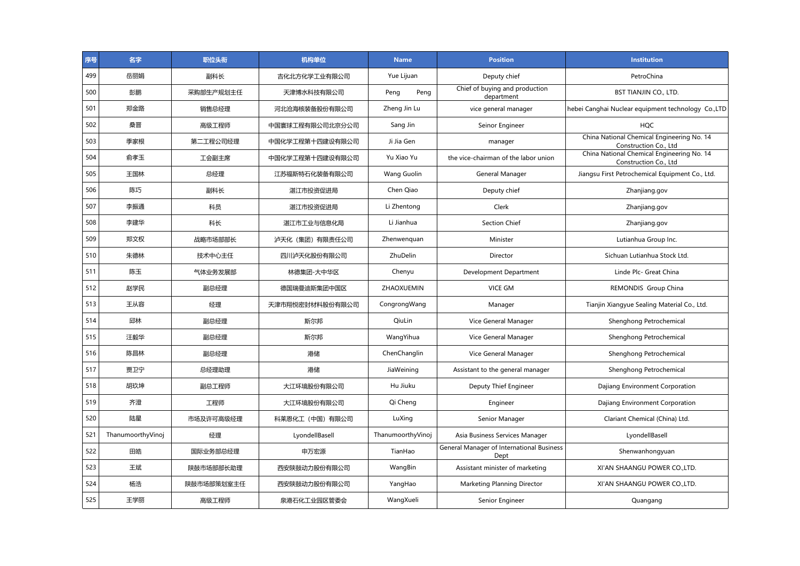| 序号  | 名字                | 职位头衔       | 机构单位            | <b>Name</b>       | <b>Position</b>                                   | <b>Institution</b>                                                  |
|-----|-------------------|------------|-----------------|-------------------|---------------------------------------------------|---------------------------------------------------------------------|
| 499 | 岳丽娟               | 副科长        | 吉化北方化学工业有限公司    | Yue Lijuan        | Deputy chief                                      | PetroChina                                                          |
| 500 | 彭鹏                | 采购部生产规划主任  | 天津博水科技有限公司      | Peng<br>Peng      | Chief of buying and production<br>department      | <b>BST TIANJIN CO., LTD.</b>                                        |
| 501 | 郑金路               | 销售总经理      | 河北沧海核装备股份有限公司   | Zheng Jin Lu      | vice general manager                              | hebei Canghai Nuclear equipment technology Co.,LTD                  |
| 502 | 桑晋                | 高级工程师      | 中国寰球工程有限公司北京分公司 | Sang Jin          | Seinor Engineer                                   | <b>HQC</b>                                                          |
| 503 | 季家根               | 第二工程公司经理   | 中国化学工程第十四建设有限公司 | Ji Jia Gen        | manager                                           | China National Chemical Engineering No. 14<br>Construction Co., Ltd |
| 504 | 俞孝玉               | 工会副主席      | 中国化学工程第十四建设有限公司 | Yu Xiao Yu        | the vice-chairman of the labor union              | China National Chemical Engineering No. 14<br>Construction Co., Ltd |
| 505 | 王国林               | 总经理        | 江苏福斯特石化装备有限公司   | Wang Guolin       | General Manager                                   | Jiangsu First Petrochemical Equipment Co., Ltd.                     |
| 506 | 陈巧                | 副科长        | 湛江市投资促进局        | Chen Qiao         | Deputy chief                                      | Zhanjiang.gov                                                       |
| 507 | 李振通               | 科员         | 湛江市投资促进局        | Li Zhentong       | Clerk                                             | Zhanjiang.gov                                                       |
| 508 | 李建华               | 科长         | 湛江市工业与信息化局      | Li Jianhua        | <b>Section Chief</b>                              | Zhanjiang.gov                                                       |
| 509 | 郑文权               | 战略市场部部长    | 泸天化 (集团) 有限责任公司 | Zhenwenguan       | Minister                                          | Lutianhua Group Inc.                                                |
| 510 | 朱德林               | 技术中心主任     | 四川泸天化股份有限公司     | <b>ZhuDelin</b>   | Director                                          | Sichuan Lutianhua Stock Ltd.                                        |
| 511 | 陈玉                | 气体业务发展部    | 林德集团-大中华区       | Chenyu            | Development Department                            | Linde Plc- Great China                                              |
| 512 | 赵学民               | 副总经理       | 德国瑞曼迪斯集团中国区     | ZHAOXUEMIN        | <b>VICE GM</b>                                    | REMONDIS Group China                                                |
| 513 | 王从容               | 经理         | 天津市翔悦密封材料股份有限公司 | CongrongWang      | Manager                                           | Tianjin Xiangyue Sealing Material Co., Ltd.                         |
| 514 | 邱林                | 副总经理       | 斯尔邦             | OiuLin            | Vice General Manager                              | Shenghong Petrochemical                                             |
| 515 | 汪毅华               | 副总经理       | 斯尔邦             | WangYihua         | Vice General Manager                              | Shenghong Petrochemical                                             |
| 516 | 陈昌林               | 副总经理       | 港储              | ChenChanglin      | Vice General Manager                              | Shenghong Petrochemical                                             |
| 517 | 贾卫宁               | 总经理助理      | 港储              | JiaWeining        | Assistant to the general manager                  | Shenghong Petrochemical                                             |
| 518 | 胡玖坤               | 副总工程师      | 大江环境股份有限公司      | Hu Jiuku          | Deputy Thief Engineer                             | Dajiang Environment Corporation                                     |
| 519 | 齐澄                | 工程师        | 大江环境股份有限公司      | Qi Cheng          | Engineer                                          | Dajiang Environment Corporation                                     |
| 520 | 陆星                | 市场及许可高级经理  | 科莱恩化工(中国)有限公司   | LuXing            | Senior Manager                                    | Clariant Chemical (China) Ltd.                                      |
| 521 | ThanumoorthyVinoj | 经理         | LyondellBasell  | ThanumoorthyVinoj | Asia Business Services Manager                    | LyondellBasell                                                      |
| 522 | 田皓                | 国际业务部总经理   | 申万宏源            | TianHao           | General Manager of International Business<br>Dept | Shenwanhongyuan                                                     |
| 523 | 王斌                | 陕鼓市场部部长助理  | 西安陕鼓动力股份有限公司    | WangBin           | Assistant minister of marketing                   | XI'AN SHAANGU POWER CO., LTD.                                       |
| 524 | 杨浩                | 陕鼓市场部策划室主任 | 西安陕鼓动力股份有限公司    | YangHao           | Marketing Planning Director                       | XI'AN SHAANGU POWER CO.,LTD.                                        |
| 525 | 王学丽               | 高级工程师      | 泉港石化工业园区管委会     | WangXueli         | Senior Engineer                                   | Quangang                                                            |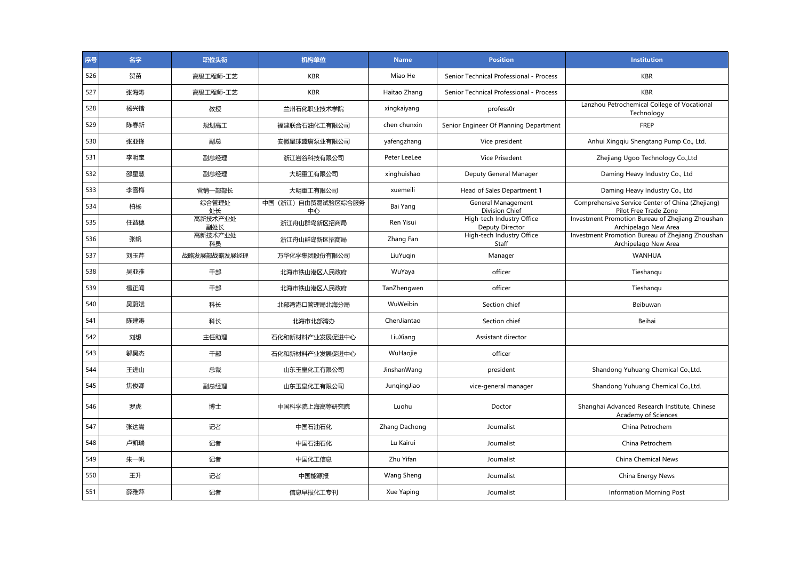| 序号  | 名字  | 职位头衔           | 机构单位                    | <b>Name</b>   | <b>Position</b>                              | <b>Institution</b>                                                        |
|-----|-----|----------------|-------------------------|---------------|----------------------------------------------|---------------------------------------------------------------------------|
| 526 | 贺苗  | 高级工程师-工艺       | <b>KBR</b>              | Miao He       | Senior Technical Professional - Process      | <b>KBR</b>                                                                |
| 527 | 张海涛 | 高级工程师-工艺       | <b>KBR</b>              | Haitao Zhang  | Senior Technical Professional - Process      | <b>KBR</b>                                                                |
| 528 | 杨兴锴 | 教授             | 兰州石化职业技术学院              | xingkaiyang   | profess0r                                    | Lanzhou Petrochemical College of Vocational<br>Technology                 |
| 529 | 陈春新 | 规划高工           | 福建联合石油化工有限公司            | chen chunxin  | Senior Engineer Of Planning Department       | FREP                                                                      |
| 530 | 张亚锋 | 副总             | 安徽星球盛唐泵业有限公司            | yafengzhang   | Vice president                               | Anhui Xingqiu Shengtang Pump Co., Ltd.                                    |
| 531 | 李明宝 | 副总经理           | 浙江岩谷科技有限公司              | Peter LeeLee  | <b>Vice Prisedent</b>                        | Zhejiang Ugoo Technology Co., Ltd                                         |
| 532 | 邵星慧 | 副总经理           | 大明重工有限公司                | xinghuishao   | Deputy General Manager                       | Daming Heavy Industry Co., Ltd                                            |
| 533 | 李雪梅 | 营销一部部长         | 大明重工有限公司                | xuemeili      | Head of Sales Department 1                   | Daming Heavy Industry Co., Ltd                                            |
| 534 | 柏杨  | 综合管理处<br>处长    | 中国(浙江)自由贸易试验区综合服务<br>中心 | Bai Yang      | General Management<br>Division Chief         | Comprehensive Service Center of China (Zhejiang)<br>Pilot Free Trade Zone |
| 535 | 任益穗 | 高新技术产业处<br>副处长 | 浙江舟山群岛新区招商局             | Ren Yisui     | High-tech Industry Office<br>Deputy Director | Investment Promotion Bureau of Zhejiang Zhoushan<br>Archipelago New Area  |
| 536 | 张帆  | 高新技术产业处<br>科员  | 浙江舟山群岛新区招商局             | Zhang Fan     | High-tech Industry Office<br>Staff           | Investment Promotion Bureau of Zhejiang Zhoushan<br>Archipelago New Area  |
| 537 | 刘玉芹 | 战略发展部战略发展经理    | 万华化学集团股份有限公司            | LiuYugin      | Manager                                      | <b>WANHUA</b>                                                             |
| 538 | 吴亚雅 | 干部             | 北海市铁山港区人民政府             | WuYaya        | officer                                      | Tieshangu                                                                 |
| 539 | 檀正闻 | 干部             | 北海市铁山港区人民政府             | TanZhengwen   | officer                                      | Tieshangu                                                                 |
| 540 | 吴蔚斌 | 科长             | 北部湾港口管理局北海分局            | WuWeibin      | Section chief                                | Beibuwan                                                                  |
| 541 | 陈建涛 | 科长             | 北海市北部湾办                 | ChenJiantao   | Section chief                                | Beihai                                                                    |
| 542 | 刘想  | 主任助理           | 石化和新材料产业发展促进中心          | LiuXiang      | Assistant director                           |                                                                           |
| 543 | 邬昊杰 | 干部             | 石化和新材料产业发展促进中心          | WuHaojie      | officer                                      |                                                                           |
| 544 | 王进山 | 总裁             | 山东玉皇化工有限公司              | JinshanWang   | president                                    | Shandong Yuhuang Chemical Co., Ltd.                                       |
| 545 | 焦俊卿 | 副总经理           | 山东玉皇化工有限公司              | JungingJiao   | vice-general manager                         | Shandong Yuhuang Chemical Co., Ltd.                                       |
| 546 | 罗虎  | 博士             | 中国科学院上海高等研究院            | Luohu         | Doctor                                       | Shanghai Advanced Research Institute, Chinese<br>Academy of Sciences      |
| 547 | 张达嵩 | 记者             | 中国石油石化                  | Zhang Dachong | Journalist                                   | China Petrochem                                                           |
| 548 | 卢凯瑞 | 记者             | 中国石油石化                  | Lu Kairui     | Journalist                                   | China Petrochem                                                           |
| 549 | 朱一帆 | 记者             | 中国化工信息                  | Zhu Yifan     | Journalist                                   | China Chemical News                                                       |
| 550 | 王升  | 记者             | 中国能源报                   | Wang Sheng    | Journalist                                   | China Energy News                                                         |
| 551 | 薛雅萍 | 记者             | 信息早报化工专刊                | Xue Yaping    | Journalist                                   | <b>Information Morning Post</b>                                           |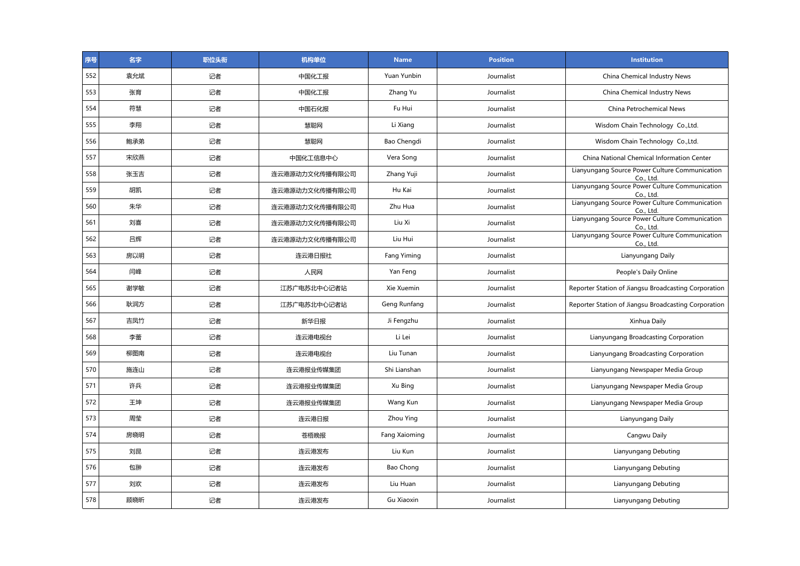| 序号  | 名字  | 职位头衔 | 机构单位           | <b>Name</b>   | <b>Position</b> | Institution                                                 |
|-----|-----|------|----------------|---------------|-----------------|-------------------------------------------------------------|
| 552 | 袁允斌 | 记者   | 中国化工报          | Yuan Yunbin   | Journalist      | China Chemical Industry News                                |
| 553 | 张育  | 记者   | 中国化工报          | Zhang Yu      | Journalist      | China Chemical Industry News                                |
| 554 | 符慧  | 记者   | 中国石化报          | Fu Hui        | Journalist      | China Petrochemical News                                    |
| 555 | 李翔  | 记者   | 慧聪网            | Li Xiang      | Journalist      | Wisdom Chain Technology Co., Ltd.                           |
| 556 | 鲍承弟 | 记者   | 慧聪网            | Bao Chengdi   | Journalist      | Wisdom Chain Technology Co., Ltd.                           |
| 557 | 宋欣燕 | 记者   | 中国化工信息中心       | Vera Song     | Journalist      | China National Chemical Information Center                  |
| 558 | 张玉吉 | 记者   | 连云港源动力文化传播有限公司 | Zhang Yuji    | Journalist      | Lianyungang Source Power Culture Communication<br>Co., Ltd. |
| 559 | 胡凯  | 记者   | 连云港源动力文化传播有限公司 | Hu Kai        | Journalist      | Lianyungang Source Power Culture Communication<br>Co., Ltd. |
| 560 | 朱华  | 记者   | 连云港源动力文化传播有限公司 | Zhu Hua       | Journalist      | Lianyungang Source Power Culture Communication<br>Co., Ltd. |
| 561 | 刘喜  | 记者   | 连云港源动力文化传播有限公司 | Liu Xi        | Journalist      | Lianyungang Source Power Culture Communication<br>Co., Ltd. |
| 562 | 吕辉  | 记者   | 连云港源动力文化传播有限公司 | Liu Hui       | Journalist      | Lianyungang Source Power Culture Communication<br>Co., Ltd. |
| 563 | 房以明 | 记者   | 连云港日报社         | Fang Yiming   | Journalist      | Lianyungang Daily                                           |
| 564 | 闫峰  | 记者   | 人民网            | Yan Feng      | Journalist      | People's Daily Online                                       |
| 565 | 谢学敏 | 记者   | 江苏广电苏北中心记者站    | Xie Xuemin    | Journalist      | Reporter Station of Jiangsu Broadcasting Corporation        |
| 566 | 耿润方 | 记者   | 江苏广电苏北中心记者站    | Geng Runfang  | Journalist      | Reporter Station of Jiangsu Broadcasting Corporation        |
| 567 | 吉凤竹 | 记者   | 新华日报           | Ji Fengzhu    | Journalist      | Xinhua Daily                                                |
| 568 | 李蕾  | 记者   | 连云港电视台         | Li Lei        | Journalist      | Lianyungang Broadcasting Corporation                        |
| 569 | 柳图南 | 记者   | 连云港电视台         | Liu Tunan     | Journalist      | Lianyungang Broadcasting Corporation                        |
| 570 | 施连山 | 记者   | 连云港报业传媒集团      | Shi Lianshan  | Journalist      | Lianyungang Newspaper Media Group                           |
| 571 | 许兵  | 记者   | 连云港报业传媒集团      | Xu Bing       | Journalist      | Lianyungang Newspaper Media Group                           |
| 572 | 王坤  | 记者   | 连云港报业传媒集团      | Wang Kun      | Journalist      | Lianyungang Newspaper Media Group                           |
| 573 | 周莹  | 记者   | 连云港日报          | Zhou Ying     | Journalist      | Lianyungang Daily                                           |
| 574 | 房晓明 | 记者   | 苍梧晚报           | Fang Xaioming | Journalist      | Cangwu Daily                                                |
| 575 | 刘昆  | 记者   | 连云港发布          | Liu Kun       | Journalist      | Lianyungang Debuting                                        |
| 576 | 包翀  | 记者   | 连云港发布          | Bao Chong     | Journalist      | Lianyungang Debuting                                        |
| 577 | 刘欢  | 记者   | 连云港发布          | Liu Huan      | Journalist      | Lianyungang Debuting                                        |
| 578 | 顾晓昕 | 记者   | 连云港发布          | Gu Xiaoxin    | Journalist      | Lianyungang Debuting                                        |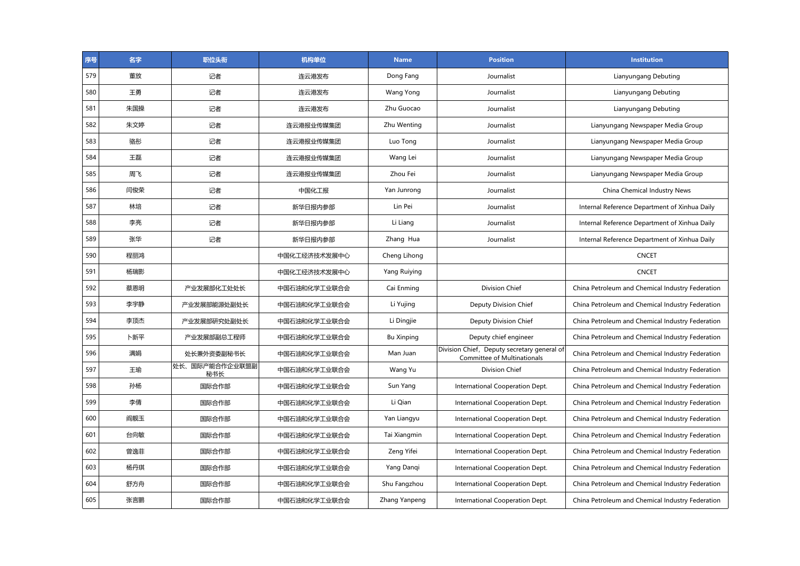| 序号  | 名字  | 职位头衔                  | 机构单位         | <b>Name</b>       | <b>Position</b>                                                                   | <b>Institution</b>                               |
|-----|-----|-----------------------|--------------|-------------------|-----------------------------------------------------------------------------------|--------------------------------------------------|
| 579 | 董放  | 记者                    | 连云港发布        | Dong Fang         | Journalist                                                                        | Lianyungang Debuting                             |
| 580 | 王勇  | 记者                    | 连云港发布        | <b>Wang Yong</b>  | Journalist                                                                        | Lianyungang Debuting                             |
| 581 | 朱国操 | 记者                    | 连云港发布        | Zhu Guocao        | Journalist                                                                        | Lianyungang Debuting                             |
| 582 | 朱文婷 | 记者                    | 连云港报业传媒集团    | Zhu Wenting       | Journalist                                                                        | Lianyungang Newspaper Media Group                |
| 583 | 骆彤  | 记者                    | 连云港报业传媒集团    | Luo Tong          | Journalist                                                                        | Lianyungang Newspaper Media Group                |
| 584 | 王磊  | 记者                    | 连云港报业传媒集团    | Wang Lei          | Journalist                                                                        | Lianyungang Newspaper Media Group                |
| 585 | 周飞  | 记者                    | 连云港报业传媒集团    | Zhou Fei          | Journalist                                                                        | Lianyungang Newspaper Media Group                |
| 586 | 闫俊荣 | 记者                    | 中国化工报        | Yan Junrong       | Journalist                                                                        | China Chemical Industry News                     |
| 587 | 林培  | 记者                    | 新华日报内参部      | Lin Pei           | Journalist                                                                        | Internal Reference Department of Xinhua Daily    |
| 588 | 李亮  | 记者                    | 新华日报内参部      | Li Liang          | Journalist                                                                        | Internal Reference Department of Xinhua Daily    |
| 589 | 张华  | 记者                    | 新华日报内参部      | Zhang Hua         | Journalist                                                                        | Internal Reference Department of Xinhua Daily    |
| 590 | 程丽鸿 |                       | 中国化工经济技术发展中心 | Cheng Lihong      |                                                                                   | <b>CNCET</b>                                     |
| 591 | 杨瑞影 |                       | 中国化工经济技术发展中心 | Yang Ruiying      |                                                                                   | <b>CNCET</b>                                     |
| 592 | 蔡恩明 | 产业发展部化工处处长            | 中国石油和化学工业联合会 | Cai Enming        | <b>Division Chief</b>                                                             | China Petroleum and Chemical Industry Federation |
| 593 | 李宇静 | 产业发展部能源处副处长           | 中国石油和化学工业联合会 | Li Yujing         | Deputy Division Chief                                                             | China Petroleum and Chemical Industry Federation |
| 594 | 李顶杰 | 产业发展部研究处副处长           | 中国石油和化学工业联合会 | Li Dingjie        | Deputy Division Chief                                                             | China Petroleum and Chemical Industry Federation |
| 595 | 卜新平 | 产业发展部副总工程师            | 中国石油和化学工业联合会 | <b>Bu Xinping</b> | Deputy chief engineer                                                             | China Petroleum and Chemical Industry Federation |
| 596 | 满娟  | 处长兼外资委副秘书长            | 中国石油和化学工业联合会 | Man Juan          | Division Chief, Deputy secretary general of<br><b>Committee of Multinationals</b> | China Petroleum and Chemical Industry Federation |
| 597 | 王瑜  | 处长、国际产能合作企业联盟副<br>秘书长 | 中国石油和化学工业联合会 | Wang Yu           | Division Chief                                                                    | China Petroleum and Chemical Industry Federation |
| 598 | 孙杨  | 国际合作部                 | 中国石油和化学工业联合会 | Sun Yang          | International Cooperation Dept.                                                   | China Petroleum and Chemical Industry Federation |
| 599 | 李倩  | 国际合作部                 | 中国石油和化学工业联合会 | Li Qian           | International Cooperation Dept.                                                   | China Petroleum and Chemical Industry Federation |
| 600 | 阎靓玉 | 国际合作部                 | 中国石油和化学工业联合会 | Yan Liangyu       | International Cooperation Dept.                                                   | China Petroleum and Chemical Industry Federation |
| 601 | 台向敏 | 国际合作部                 | 中国石油和化学工业联合会 | Tai Xiangmin      | International Cooperation Dept.                                                   | China Petroleum and Chemical Industry Federation |
| 602 | 曾逸菲 | 国际合作部                 | 中国石油和化学工业联合会 | Zeng Yifei        | International Cooperation Dept.                                                   | China Petroleum and Chemical Industry Federation |
| 603 | 杨丹琪 | 国际合作部                 | 中国石油和化学工业联合会 | Yang Dangi        | International Cooperation Dept.                                                   | China Petroleum and Chemical Industry Federation |
| 604 | 舒方舟 | 国际合作部                 | 中国石油和化学工业联合会 | Shu Fangzhou      | International Cooperation Dept.                                                   | China Petroleum and Chemical Industry Federation |
| 605 | 张言鹏 | 国际合作部                 | 中国石油和化学工业联合会 | Zhang Yanpeng     | International Cooperation Dept.                                                   | China Petroleum and Chemical Industry Federation |